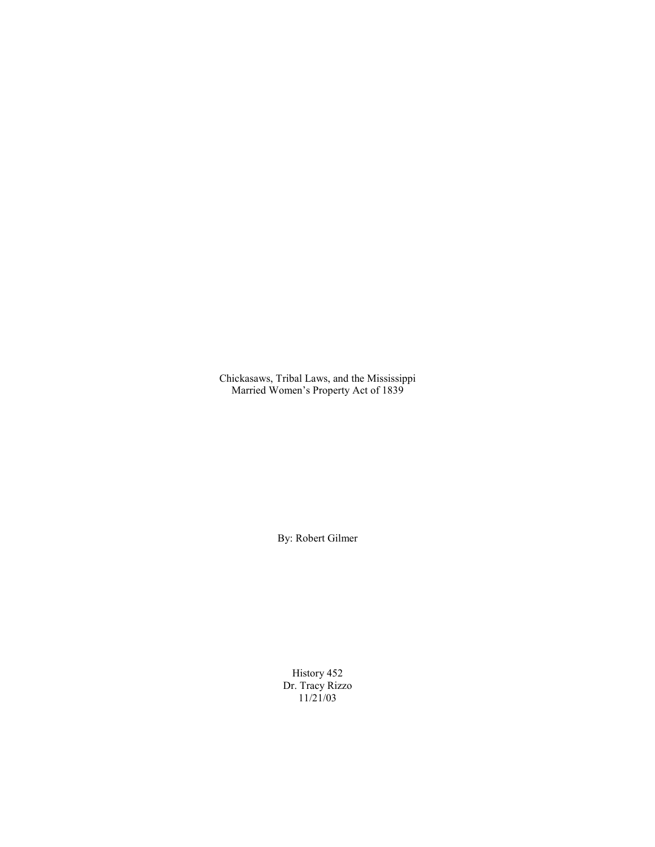Chickasaws, Tribal Laws, and the Mississippi Married Women's Property Act of 1839

By: Robert Gilmer

History 452 Dr. Tracy Rizzo 11/21/03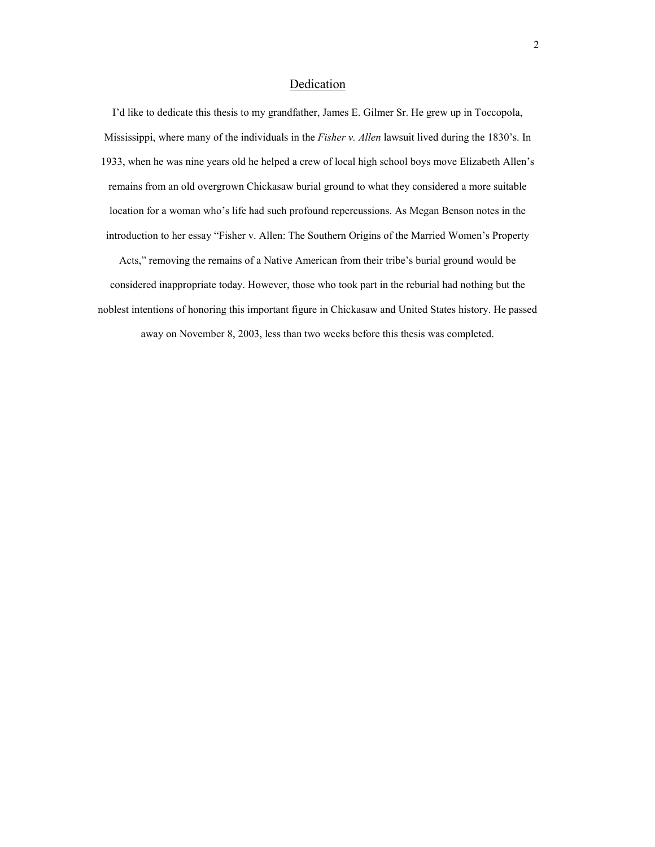# Dedication

I'd like to dedicate this thesis to my grandfather, James E. Gilmer Sr. He grew up in Toccopola, Mississippi, where many of the individuals in the *Fisher v. Allen* lawsuit lived during the 1830's. In 1933, when he was nine years old he helped a crew of local high school boys move Elizabeth Allen's remains from an old overgrown Chickasaw burial ground to what they considered a more suitable location for a woman who's life had such profound repercussions. As Megan Benson notes in the introduction to her essay "Fisher v. Allen: The Southern Origins of the Married Women's Property

Acts," removing the remains of a Native American from their tribe's burial ground would be considered inappropriate today. However, those who took part in the reburial had nothing but the noblest intentions of honoring this important figure in Chickasaw and United States history. He passed away on November 8, 2003, less than two weeks before this thesis was completed.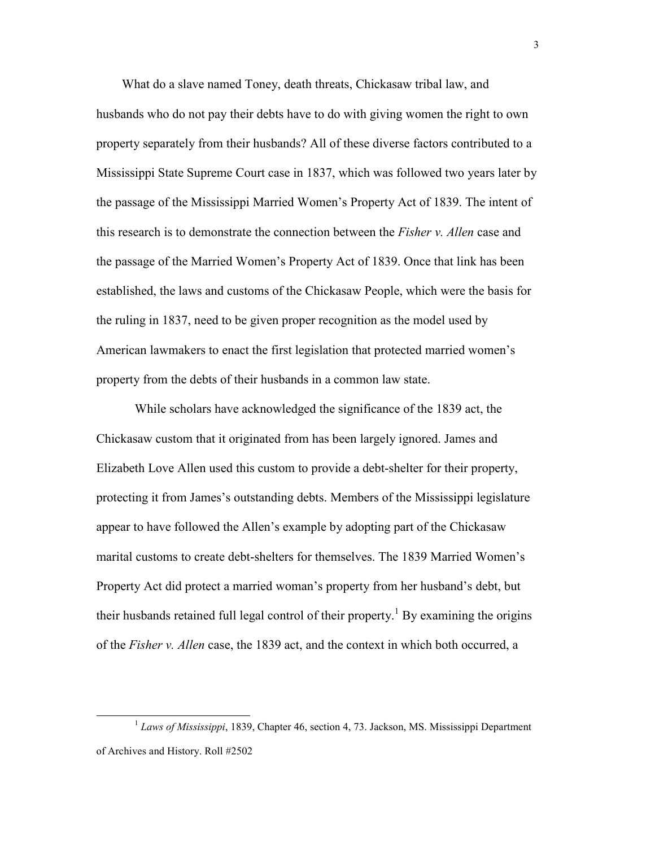What do a slave named Toney, death threats, Chickasaw tribal law, and husbands who do not pay their debts have to do with giving women the right to own property separately from their husbands? All of these diverse factors contributed to a Mississippi State Supreme Court case in 1837, which was followed two years later by the passage of the Mississippi Married Women's Property Act of 1839. The intent of this research is to demonstrate the connection between the *Fisher v. Allen* case and the passage of the Married Women's Property Act of 1839. Once that link has been established, the laws and customs of the Chickasaw People, which were the basis for the ruling in 1837, need to be given proper recognition as the model used by American lawmakers to enact the first legislation that protected married women's property from the debts of their husbands in a common law state.

 While scholars have acknowledged the significance of the 1839 act, the Chickasaw custom that it originated from has been largely ignored. James and Elizabeth Love Allen used this custom to provide a debt-shelter for their property, protecting it from James's outstanding debts. Members of the Mississippi legislature appear to have followed the Allen's example by adopting part of the Chickasaw marital customs to create debt-shelters for themselves. The 1839 Married Women's Property Act did protect a married woman's property from her husband's debt, but their husbands retained full legal control of their property.<sup>1</sup> By examining the origins of the *Fisher v. Allen* case, the 1839 act, and the context in which both occurred, a

<sup>&</sup>lt;sup>1</sup> Laws of Mississippi, 1839, Chapter 46, section 4, 73. Jackson, MS. Mississippi Department of Archives and History. Roll #2502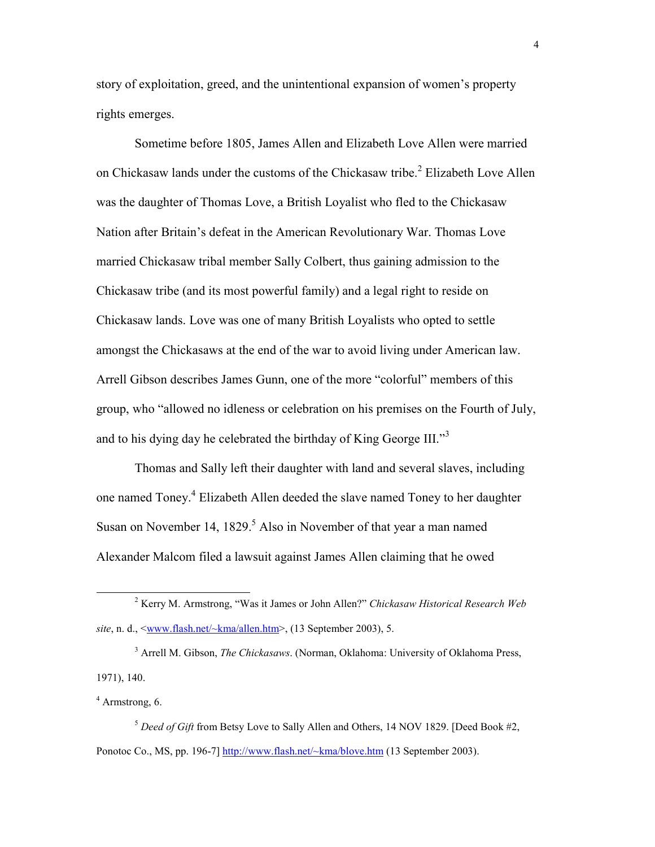story of exploitation, greed, and the unintentional expansion of women's property rights emerges.

Sometime before 1805, James Allen and Elizabeth Love Allen were married on Chickasaw lands under the customs of the Chickasaw tribe.<sup>2</sup> Elizabeth Love Allen was the daughter of Thomas Love, a British Loyalist who fled to the Chickasaw Nation after Britain's defeat in the American Revolutionary War. Thomas Love married Chickasaw tribal member Sally Colbert, thus gaining admission to the Chickasaw tribe (and its most powerful family) and a legal right to reside on Chickasaw lands. Love was one of many British Loyalists who opted to settle amongst the Chickasaws at the end of the war to avoid living under American law. Arrell Gibson describes James Gunn, one of the more "colorful" members of this group, who "allowed no idleness or celebration on his premises on the Fourth of July, and to his dying day he celebrated the birthday of King George III." $3$ 

Thomas and Sally left their daughter with land and several slaves, including one named Toney.<sup>4</sup> Elizabeth Allen deeded the slave named Toney to her daughter Susan on November 14,  $1829$ <sup>5</sup> Also in November of that year a man named Alexander Malcom filed a lawsuit against James Allen claiming that he owed

3 Arrell M. Gibson, *The Chickasaws*. (Norman, Oklahoma: University of Oklahoma Press, 1971), 140.

4 Armstrong, 6.

 $\overline{a}$ 

<sup>5</sup> *Deed of Gift* from Betsy Love to Sally Allen and Others, 14 NOV 1829. [Deed Book #2, Ponotoc Co., MS, pp. 196-7] http://www.flash.net/~kma/blove.htm (13 September 2003).

<sup>2</sup> Kerry M. Armstrong, "Was it James or John Allen?" *Chickasaw Historical Research Web site*, n. d., <<u>www.flash.net/~kma/allen.htm</u>>, (13 September 2003), 5.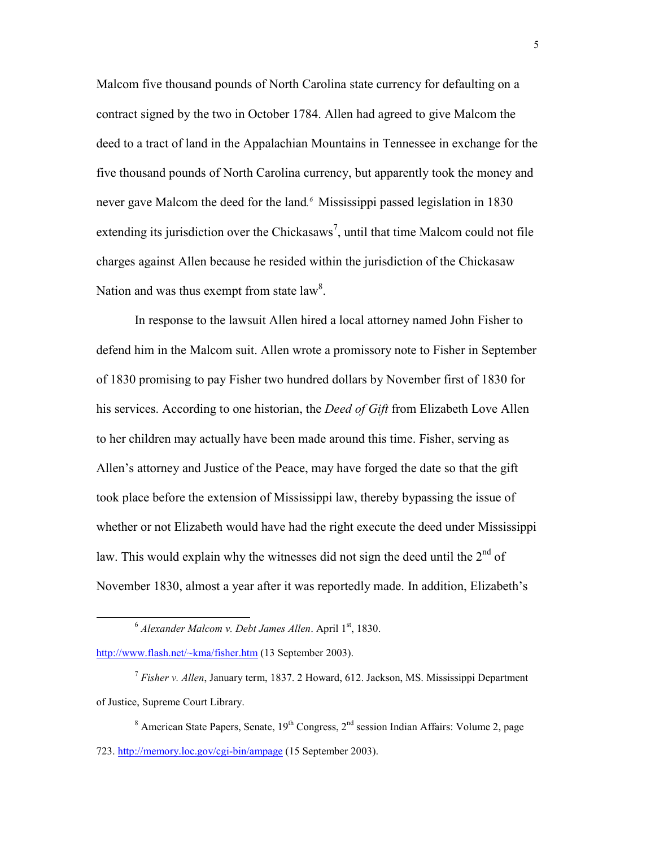Malcom five thousand pounds of North Carolina state currency for defaulting on a contract signed by the two in October 1784. Allen had agreed to give Malcom the deed to a tract of land in the Appalachian Mountains in Tennessee in exchange for the five thousand pounds of North Carolina currency, but apparently took the money and never gave Malcom the deed for the land.<sup>6</sup> Mississippi passed legislation in 1830 extending its jurisdiction over the Chickasaws<sup>7</sup>, until that time Malcom could not file charges against Allen because he resided within the jurisdiction of the Chickasaw Nation and was thus exempt from state  $law<sup>8</sup>$ .

In response to the lawsuit Allen hired a local attorney named John Fisher to defend him in the Malcom suit. Allen wrote a promissory note to Fisher in September of 1830 promising to pay Fisher two hundred dollars by November first of 1830 for his services. According to one historian, the *Deed of Gift* from Elizabeth Love Allen to her children may actually have been made around this time. Fisher, serving as Allen's attorney and Justice of the Peace, may have forged the date so that the gift took place before the extension of Mississippi law, thereby bypassing the issue of whether or not Elizabeth would have had the right execute the deed under Mississippi law. This would explain why the witnesses did not sign the deed until the  $2<sup>nd</sup>$  of November 1830, almost a year after it was reportedly made. In addition, Elizabeth's

http://www.flash.net/~kma/fisher.htm (13 September 2003).

<sup>&</sup>lt;sup>6</sup> Alexander Malcom v. Debt James Allen. April 1<sup>st</sup>, 1830.

<sup>7</sup> *Fisher v. Allen*, January term, 1837. 2 Howard, 612. Jackson, MS. Mississippi Department of Justice, Supreme Court Library.

<sup>&</sup>lt;sup>8</sup> American State Papers, Senate, 19<sup>th</sup> Congress, 2<sup>nd</sup> session Indian Affairs: Volume 2, page 723. http://memory.loc.gov/cgi-bin/ampage (15 September 2003).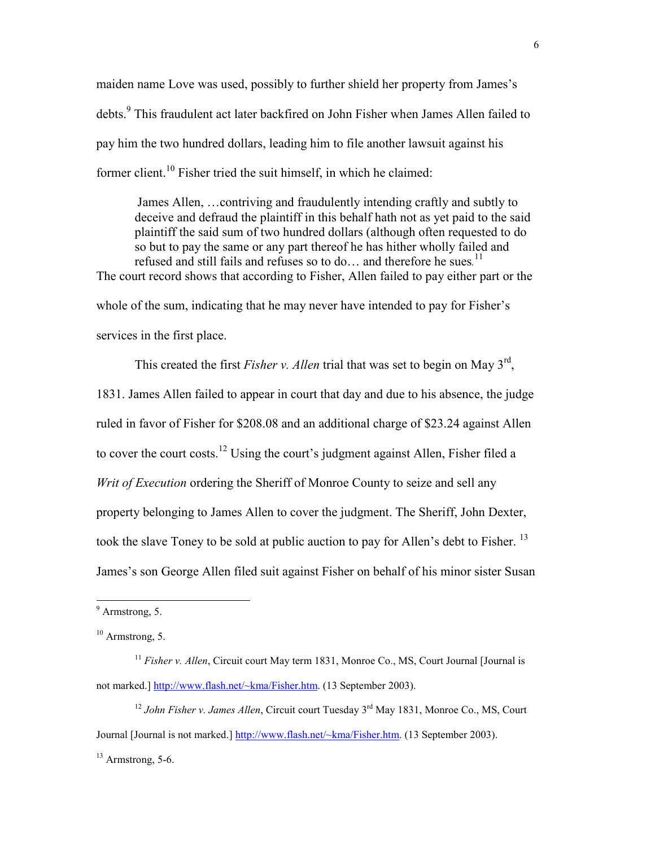maiden name Love was used, possibly to further shield her property from James's debts.<sup>9</sup> This fraudulent act later backfired on John Fisher when James Allen failed to pay him the two hundred dollars, leading him to file another lawsuit against his former client.<sup>10</sup> Fisher tried the suit himself, in which he claimed:

James Allen, …contriving and fraudulently intending craftly and subtly to deceive and defraud the plaintiff in this behalf hath not as yet paid to the said plaintiff the said sum of two hundred dollars (although often requested to do so but to pay the same or any part thereof he has hither wholly failed and refused and still fails and refuses so to do… and therefore he sues*.* 11 The court record shows that according to Fisher, Allen failed to pay either part or the whole of the sum, indicating that he may never have intended to pay for Fisher's services in the first place.

This created the first *Fisher v. Allen* trial that was set to begin on May 3<sup>rd</sup>, 1831. James Allen failed to appear in court that day and due to his absence, the judge ruled in favor of Fisher for \$208.08 and an additional charge of \$23.24 against Allen to cover the court costs.<sup>12</sup> Using the court's judgment against Allen, Fisher filed a *Writ of Execution* ordering the Sheriff of Monroe County to seize and sell any property belonging to James Allen to cover the judgment. The Sheriff, John Dexter, took the slave Toney to be sold at public auction to pay for Allen's debt to Fisher.<sup>13</sup> James's son George Allen filed suit against Fisher on behalf of his minor sister Susan

<sup>&</sup>lt;sup>9</sup> Armstrong, 5.

 $10$  Armstrong, 5.

<sup>&</sup>lt;sup>11</sup> *Fisher v. Allen*, Circuit court May term 1831, Monroe Co., MS, Court Journal [Journal is not marked.] http://www.flash.net/~kma/Fisher.htm. (13 September 2003).

<sup>&</sup>lt;sup>12</sup> John Fisher v. James Allen, Circuit court Tuesday 3<sup>rd</sup> May 1831, Monroe Co., MS, Court Journal [Journal is not marked.] http://www.flash.net/~kma/Fisher.htm. (13 September 2003).  $13$  Armstrong, 5-6.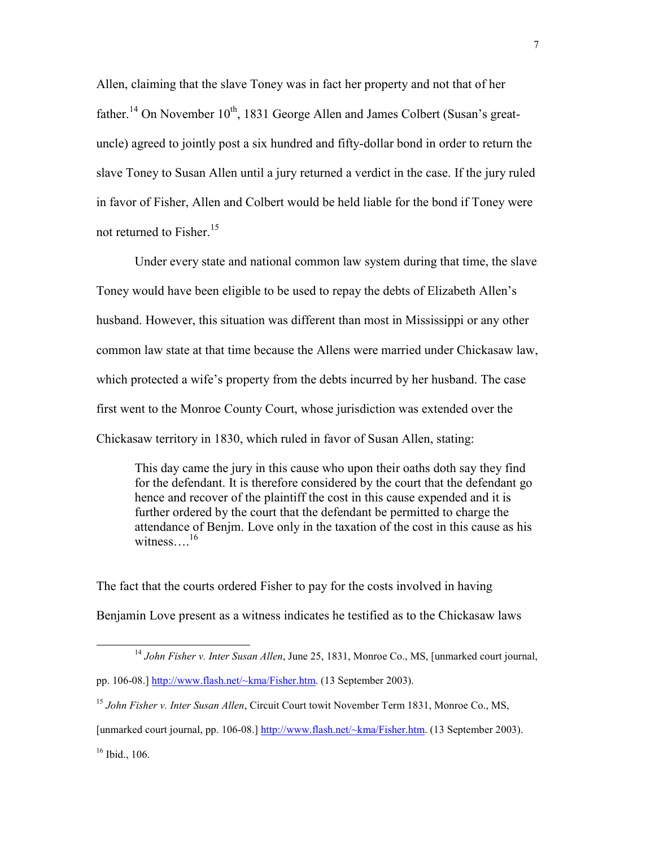Allen, claiming that the slave Toney was in fact her property and not that of her father.<sup>14</sup> On November  $10^{th}$ , 1831 George Allen and James Colbert (Susan's greatuncle) agreed to jointly post a six hundred and fifty-dollar bond in order to return the slave Toney to Susan Allen until a jury returned a verdict in the case. If the jury ruled in favor of Fisher, Allen and Colbert would be held liable for the bond if Toney were not returned to Fisher.<sup>15</sup>

 Under every state and national common law system during that time, the slave Toney would have been eligible to be used to repay the debts of Elizabeth Allen's husband. However, this situation was different than most in Mississippi or any other common law state at that time because the Allens were married under Chickasaw law, which protected a wife's property from the debts incurred by her husband. The case first went to the Monroe County Court, whose jurisdiction was extended over the Chickasaw territory in 1830, which ruled in favor of Susan Allen, stating:

This day came the jury in this cause who upon their oaths doth say they find for the defendant. It is therefore considered by the court that the defendant go hence and recover of the plaintiff the cost in this cause expended and it is further ordered by the court that the defendant be permitted to charge the attendance of Benjm. Love only in the taxation of the cost in this cause as his witness... $^{16}$ 

The fact that the courts ordered Fisher to pay for the costs involved in having Benjamin Love present as a witness indicates he testified as to the Chickasaw laws

[unmarked court journal, pp. 106-08.] http://www.flash.net/~kma/Fisher.htm. (13 September 2003).

<sup>16</sup> Ibid., 106.

<sup>14</sup> *John Fisher v. Inter Susan Allen*, June 25, 1831, Monroe Co., MS, [unmarked court journal,

pp. 106-08.] http://www.flash.net/~kma/Fisher.htm. (13 September 2003).

<sup>15</sup> *John Fisher v. Inter Susan Allen*, Circuit Court towit November Term 1831, Monroe Co., MS,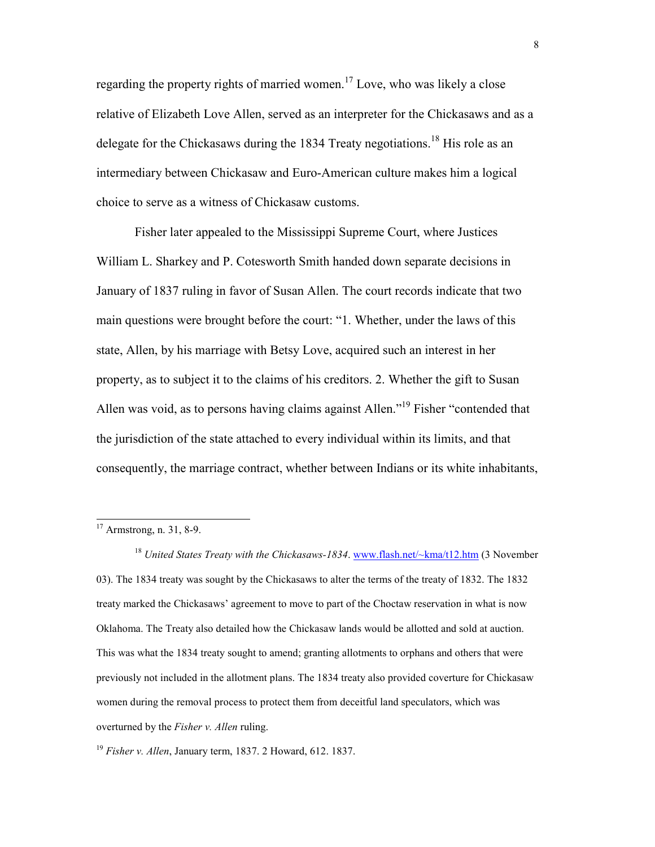regarding the property rights of married women.<sup>17</sup> Love, who was likely a close relative of Elizabeth Love Allen, served as an interpreter for the Chickasaws and as a delegate for the Chickasaws during the 1834 Treaty negotiations.<sup>18</sup> His role as an intermediary between Chickasaw and Euro-American culture makes him a logical choice to serve as a witness of Chickasaw customs.

Fisher later appealed to the Mississippi Supreme Court, where Justices William L. Sharkey and P. Cotesworth Smith handed down separate decisions in January of 1837 ruling in favor of Susan Allen. The court records indicate that two main questions were brought before the court: "1. Whether, under the laws of this state, Allen, by his marriage with Betsy Love, acquired such an interest in her property, as to subject it to the claims of his creditors. 2. Whether the gift to Susan Allen was void, as to persons having claims against Allen."<sup>19</sup> Fisher "contended that the jurisdiction of the state attached to every individual within its limits, and that consequently, the marriage contract, whether between Indians or its white inhabitants,

 $\overline{a}$ 

<sup>18</sup> *United States Treaty with the Chickasaws-1834*. www.flash.net/~kma/t12.htm (3 November 03). The 1834 treaty was sought by the Chickasaws to alter the terms of the treaty of 1832. The 1832 treaty marked the Chickasaws' agreement to move to part of the Choctaw reservation in what is now Oklahoma. The Treaty also detailed how the Chickasaw lands would be allotted and sold at auction. This was what the 1834 treaty sought to amend; granting allotments to orphans and others that were previously not included in the allotment plans. The 1834 treaty also provided coverture for Chickasaw women during the removal process to protect them from deceitful land speculators, which was overturned by the *Fisher v. Allen* ruling.

<sup>19</sup> *Fisher v. Allen*, January term, 1837. 2 Howard, 612. 1837.

 $17$  Armstrong, n. 31, 8-9.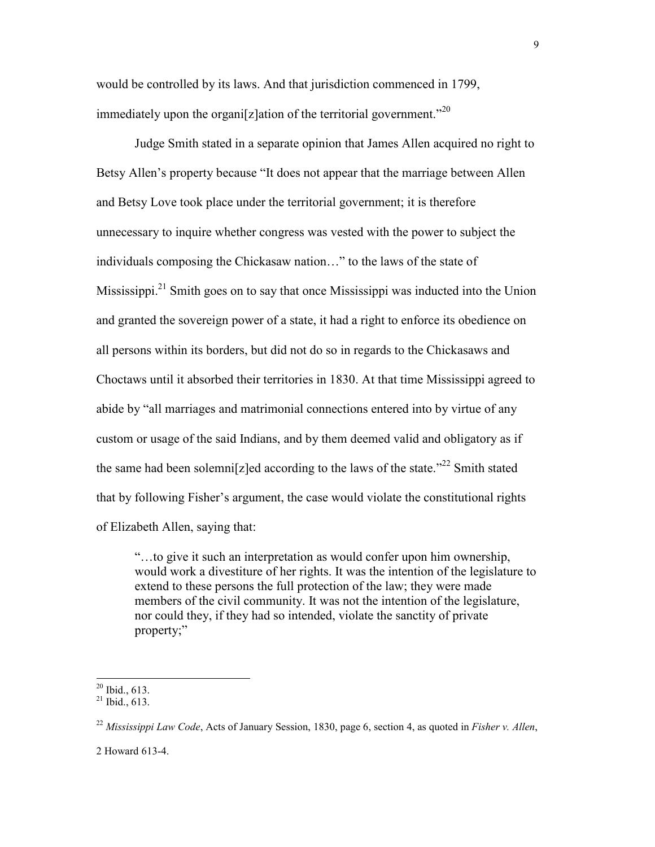would be controlled by its laws. And that jurisdiction commenced in 1799, immediately upon the organi[z]ation of the territorial government."<sup>20</sup>

Judge Smith stated in a separate opinion that James Allen acquired no right to Betsy Allen's property because "It does not appear that the marriage between Allen and Betsy Love took place under the territorial government; it is therefore unnecessary to inquire whether congress was vested with the power to subject the individuals composing the Chickasaw nation…" to the laws of the state of Mississippi. $2^1$  Smith goes on to say that once Mississippi was inducted into the Union and granted the sovereign power of a state, it had a right to enforce its obedience on all persons within its borders, but did not do so in regards to the Chickasaws and Choctaws until it absorbed their territories in 1830. At that time Mississippi agreed to abide by "all marriages and matrimonial connections entered into by virtue of any custom or usage of the said Indians, and by them deemed valid and obligatory as if the same had been solemni[z]ed according to the laws of the state.<sup> $22$ </sup> Smith stated that by following Fisher's argument, the case would violate the constitutional rights of Elizabeth Allen, saying that:

"…to give it such an interpretation as would confer upon him ownership, would work a divestiture of her rights. It was the intention of the legislature to extend to these persons the full protection of the law; they were made members of the civil community. It was not the intention of the legislature, nor could they, if they had so intended, violate the sanctity of private property;"

 $\overline{a}$ 

2 Howard 613-4.

 $20$  Ibid., 613.

 $21$  Ibid., 613.

<sup>22</sup> *Mississippi Law Code*, Acts of January Session, 1830, page 6, section 4, as quoted in *Fisher v. Allen*,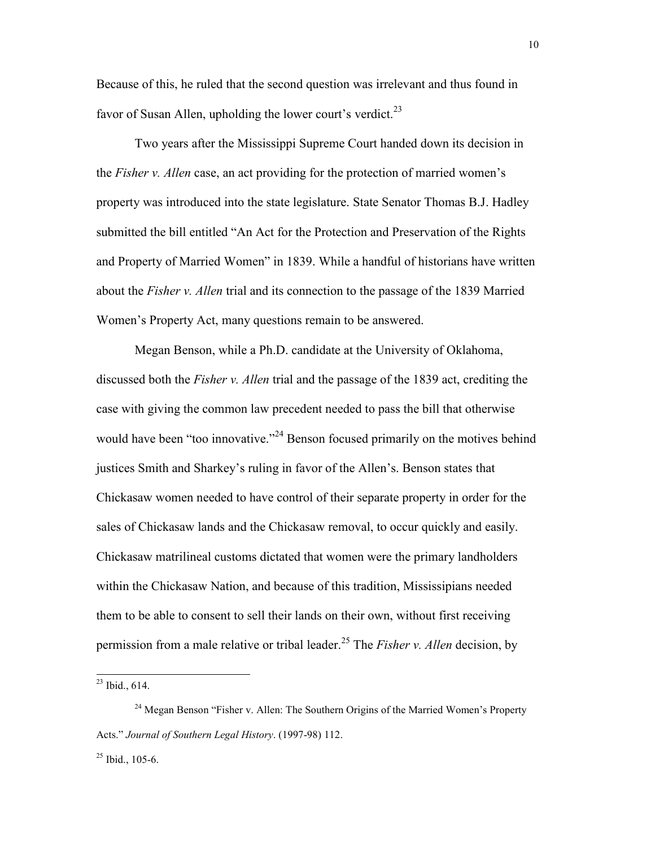Because of this, he ruled that the second question was irrelevant and thus found in favor of Susan Allen, upholding the lower court's verdict. $^{23}$ 

Two years after the Mississippi Supreme Court handed down its decision in the *Fisher v. Allen* case, an act providing for the protection of married women's property was introduced into the state legislature. State Senator Thomas B.J. Hadley submitted the bill entitled "An Act for the Protection and Preservation of the Rights and Property of Married Women" in 1839. While a handful of historians have written about the *Fisher v. Allen* trial and its connection to the passage of the 1839 Married Women's Property Act, many questions remain to be answered.

Megan Benson, while a Ph.D. candidate at the University of Oklahoma, discussed both the *Fisher v. Allen* trial and the passage of the 1839 act, crediting the case with giving the common law precedent needed to pass the bill that otherwise would have been "too innovative."<sup>24</sup> Benson focused primarily on the motives behind justices Smith and Sharkey's ruling in favor of the Allen's. Benson states that Chickasaw women needed to have control of their separate property in order for the sales of Chickasaw lands and the Chickasaw removal, to occur quickly and easily. Chickasaw matrilineal customs dictated that women were the primary landholders within the Chickasaw Nation, and because of this tradition, Mississipians needed them to be able to consent to sell their lands on their own, without first receiving permission from a male relative or tribal leader.<sup>25</sup> The *Fisher v. Allen* decision, by

 $^{23}$  Ibid., 614.

<sup>&</sup>lt;sup>24</sup> Megan Benson "Fisher v. Allen: The Southern Origins of the Married Women's Property Acts." *Journal of Southern Legal History*. (1997-98) 112.

 $^{25}$  Ibid., 105-6.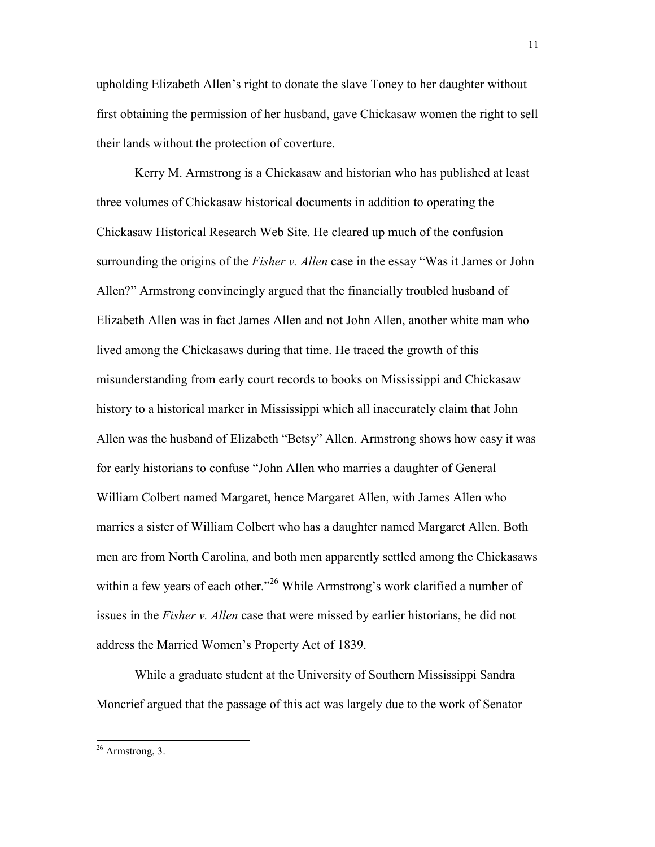upholding Elizabeth Allen's right to donate the slave Toney to her daughter without first obtaining the permission of her husband, gave Chickasaw women the right to sell their lands without the protection of coverture.

 Kerry M. Armstrong is a Chickasaw and historian who has published at least three volumes of Chickasaw historical documents in addition to operating the Chickasaw Historical Research Web Site. He cleared up much of the confusion surrounding the origins of the *Fisher v. Allen* case in the essay "Was it James or John Allen?" Armstrong convincingly argued that the financially troubled husband of Elizabeth Allen was in fact James Allen and not John Allen, another white man who lived among the Chickasaws during that time. He traced the growth of this misunderstanding from early court records to books on Mississippi and Chickasaw history to a historical marker in Mississippi which all inaccurately claim that John Allen was the husband of Elizabeth "Betsy" Allen. Armstrong shows how easy it was for early historians to confuse "John Allen who marries a daughter of General William Colbert named Margaret, hence Margaret Allen, with James Allen who marries a sister of William Colbert who has a daughter named Margaret Allen. Both men are from North Carolina, and both men apparently settled among the Chickasaws within a few years of each other.<sup>326</sup> While Armstrong's work clarified a number of issues in the *Fisher v. Allen* case that were missed by earlier historians, he did not address the Married Women's Property Act of 1839.

 While a graduate student at the University of Southern Mississippi Sandra Moncrief argued that the passage of this act was largely due to the work of Senator

 $26$  Armstrong, 3.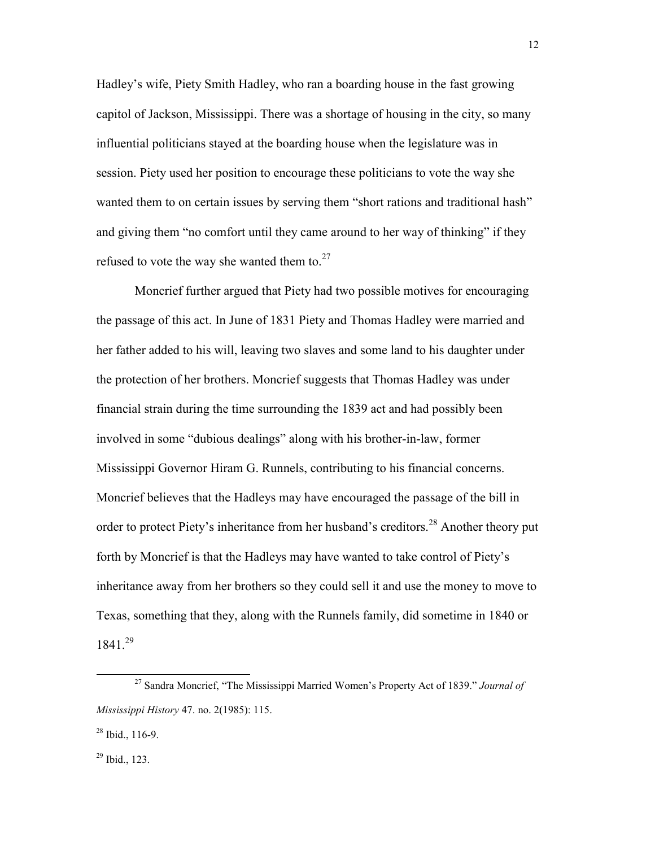Hadley's wife, Piety Smith Hadley, who ran a boarding house in the fast growing capitol of Jackson, Mississippi. There was a shortage of housing in the city, so many influential politicians stayed at the boarding house when the legislature was in session. Piety used her position to encourage these politicians to vote the way she wanted them to on certain issues by serving them "short rations and traditional hash" and giving them "no comfort until they came around to her way of thinking" if they refused to vote the way she wanted them to.<sup>27</sup>

 Moncrief further argued that Piety had two possible motives for encouraging the passage of this act. In June of 1831 Piety and Thomas Hadley were married and her father added to his will, leaving two slaves and some land to his daughter under the protection of her brothers. Moncrief suggests that Thomas Hadley was under financial strain during the time surrounding the 1839 act and had possibly been involved in some "dubious dealings" along with his brother-in-law, former Mississippi Governor Hiram G. Runnels, contributing to his financial concerns. Moncrief believes that the Hadleys may have encouraged the passage of the bill in order to protect Piety's inheritance from her husband's creditors.<sup>28</sup> Another theory put forth by Moncrief is that the Hadleys may have wanted to take control of Piety's inheritance away from her brothers so they could sell it and use the money to move to Texas, something that they, along with the Runnels family, did sometime in 1840 or 1841.<sup>29</sup>

<sup>29</sup> Ibid., 123.

<sup>27</sup> Sandra Moncrief, "The Mississippi Married Women's Property Act of 1839." *Journal of Mississippi History* 47. no. 2(1985): 115.

 $28$  Ibid., 116-9.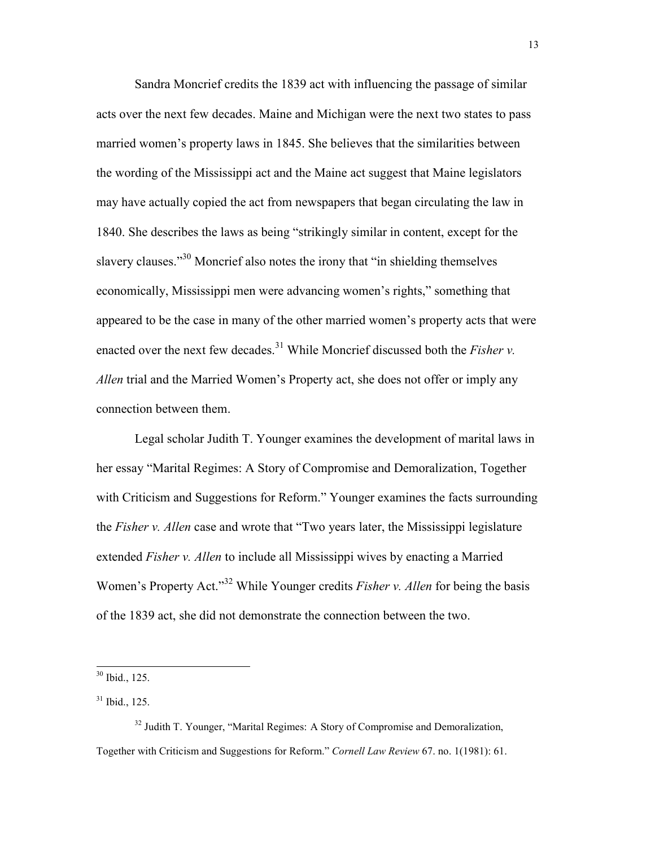Sandra Moncrief credits the 1839 act with influencing the passage of similar acts over the next few decades. Maine and Michigan were the next two states to pass married women's property laws in 1845. She believes that the similarities between the wording of the Mississippi act and the Maine act suggest that Maine legislators may have actually copied the act from newspapers that began circulating the law in 1840. She describes the laws as being "strikingly similar in content, except for the slavery clauses."<sup>30</sup> Moncrief also notes the irony that "in shielding themselves" economically, Mississippi men were advancing women's rights," something that appeared to be the case in many of the other married women's property acts that were enacted over the next few decades.<sup>31</sup> While Moncrief discussed both the *Fisher v*. *Allen* trial and the Married Women's Property act, she does not offer or imply any connection between them.

 Legal scholar Judith T. Younger examines the development of marital laws in her essay "Marital Regimes: A Story of Compromise and Demoralization, Together with Criticism and Suggestions for Reform." Younger examines the facts surrounding the *Fisher v. Allen* case and wrote that "Two years later, the Mississippi legislature extended *Fisher v. Allen* to include all Mississippi wives by enacting a Married Women's Property Act."<sup>32</sup> While Younger credits *Fisher v. Allen* for being the basis of the 1839 act, she did not demonstrate the connection between the two.

 $\overline{a}$ 

<sup>32</sup> Judith T. Younger, "Marital Regimes: A Story of Compromise and Demoralization, Together with Criticism and Suggestions for Reform." *Cornell Law Review* 67. no. 1(1981): 61.

 $30$  Ibid., 125.

 $31$  Ibid., 125.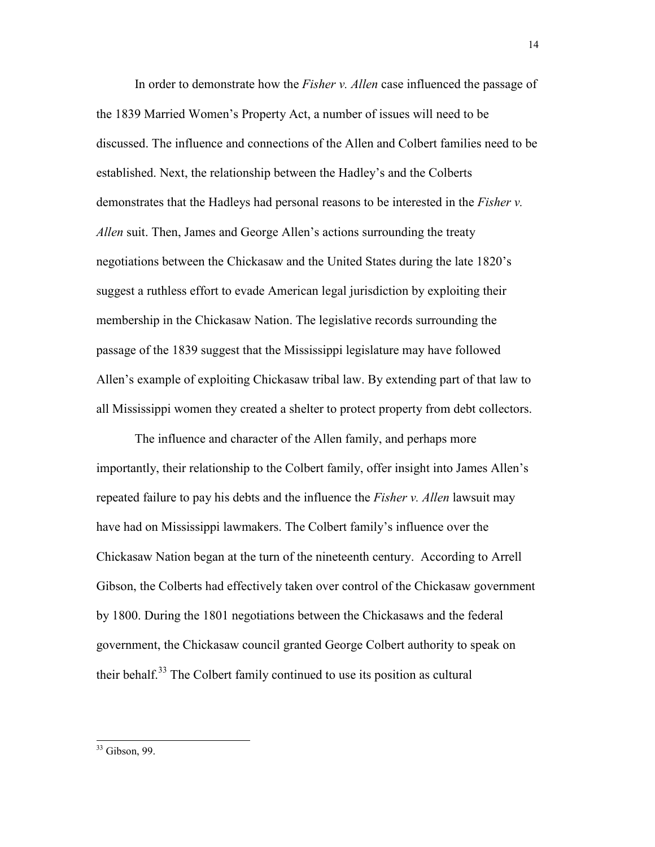In order to demonstrate how the *Fisher v. Allen* case influenced the passage of the 1839 Married Women's Property Act, a number of issues will need to be discussed. The influence and connections of the Allen and Colbert families need to be established. Next, the relationship between the Hadley's and the Colberts demonstrates that the Hadleys had personal reasons to be interested in the *Fisher v. Allen* suit. Then, James and George Allen's actions surrounding the treaty negotiations between the Chickasaw and the United States during the late 1820's suggest a ruthless effort to evade American legal jurisdiction by exploiting their membership in the Chickasaw Nation. The legislative records surrounding the passage of the 1839 suggest that the Mississippi legislature may have followed Allen's example of exploiting Chickasaw tribal law. By extending part of that law to all Mississippi women they created a shelter to protect property from debt collectors.

The influence and character of the Allen family, and perhaps more importantly, their relationship to the Colbert family, offer insight into James Allen's repeated failure to pay his debts and the influence the *Fisher v. Allen* lawsuit may have had on Mississippi lawmakers. The Colbert family's influence over the Chickasaw Nation began at the turn of the nineteenth century. According to Arrell Gibson, the Colberts had effectively taken over control of the Chickasaw government by 1800. During the 1801 negotiations between the Chickasaws and the federal government, the Chickasaw council granted George Colbert authority to speak on their behalf.<sup>33</sup> The Colbert family continued to use its position as cultural

<sup>&</sup>lt;sup>33</sup> Gibson, 99.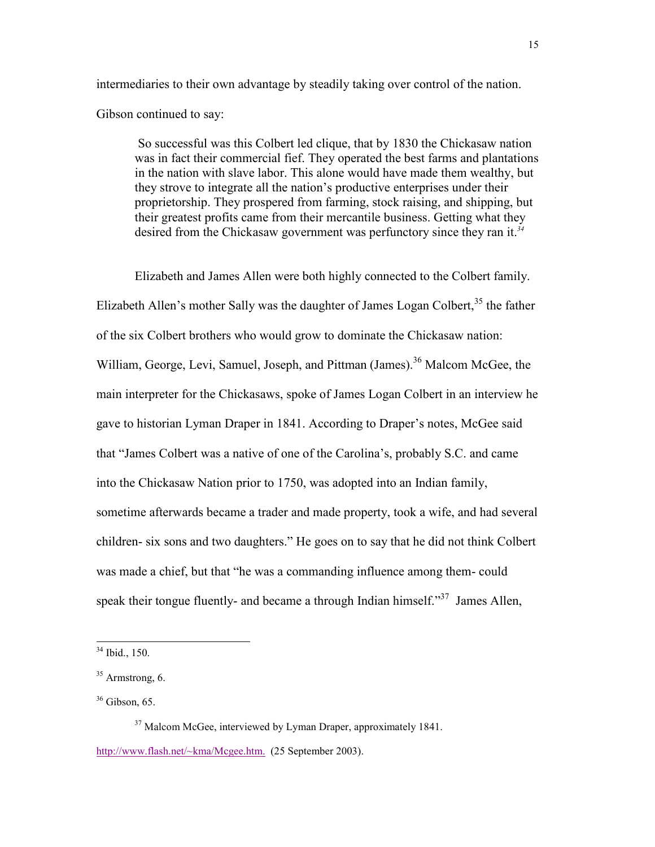intermediaries to their own advantage by steadily taking over control of the nation.

Gibson continued to say:

So successful was this Colbert led clique, that by 1830 the Chickasaw nation was in fact their commercial fief. They operated the best farms and plantations in the nation with slave labor. This alone would have made them wealthy, but they strove to integrate all the nation's productive enterprises under their proprietorship. They prospered from farming, stock raising, and shipping, but their greatest profits came from their mercantile business. Getting what they desired from the Chickasaw government was perfunctory since they ran it.*<sup>34</sup>*

Elizabeth and James Allen were both highly connected to the Colbert family. Elizabeth Allen's mother Sally was the daughter of James Logan Colbert,  $35$  the father of the six Colbert brothers who would grow to dominate the Chickasaw nation: William, George, Levi, Samuel, Joseph, and Pittman (James).<sup>36</sup> Malcom McGee, the main interpreter for the Chickasaws, spoke of James Logan Colbert in an interview he gave to historian Lyman Draper in 1841. According to Draper's notes, McGee said that "James Colbert was a native of one of the Carolina's, probably S.C. and came into the Chickasaw Nation prior to 1750, was adopted into an Indian family, sometime afterwards became a trader and made property, took a wife, and had several children- six sons and two daughters." He goes on to say that he did not think Colbert was made a chief, but that "he was a commanding influence among them- could speak their tongue fluently- and became a through Indian himself." $37$  James Allen,

 $\overline{a}$ 

<sup>37</sup> Malcom McGee, interviewed by Lyman Draper, approximately 1841. http://www.flash.net/~kma/Mcgee.htm. (25 September 2003).

<sup>34</sup> Ibid., 150.

 $35$  Armstrong, 6.

 $36$  Gibson, 65.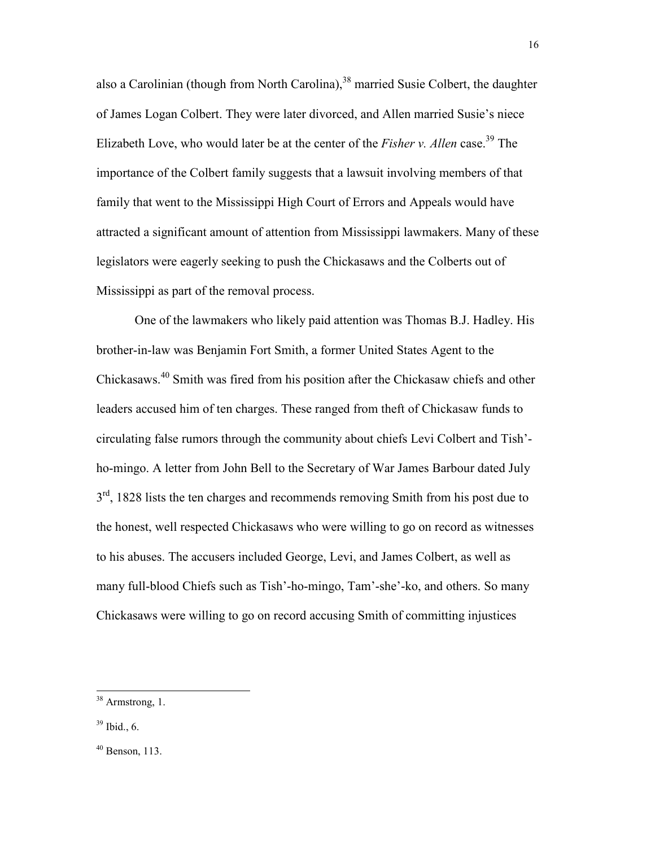also a Carolinian (though from North Carolina),  $38$  married Susie Colbert, the daughter of James Logan Colbert. They were later divorced, and Allen married Susie's niece Elizabeth Love, who would later be at the center of the *Fisher v. Allen* case.<sup>39</sup> The importance of the Colbert family suggests that a lawsuit involving members of that family that went to the Mississippi High Court of Errors and Appeals would have attracted a significant amount of attention from Mississippi lawmakers. Many of these legislators were eagerly seeking to push the Chickasaws and the Colberts out of Mississippi as part of the removal process.

One of the lawmakers who likely paid attention was Thomas B.J. Hadley. His brother-in-law was Benjamin Fort Smith, a former United States Agent to the Chickasaws.<sup>40</sup> Smith was fired from his position after the Chickasaw chiefs and other leaders accused him of ten charges. These ranged from theft of Chickasaw funds to circulating false rumors through the community about chiefs Levi Colbert and Tish' ho-mingo. A letter from John Bell to the Secretary of War James Barbour dated July  $3<sup>rd</sup>$ , 1828 lists the ten charges and recommends removing Smith from his post due to the honest, well respected Chickasaws who were willing to go on record as witnesses to his abuses. The accusers included George, Levi, and James Colbert, as well as many full-blood Chiefs such as Tish'-ho-mingo, Tam'-she'-ko, and others. So many Chickasaws were willing to go on record accusing Smith of committing injustices

<sup>&</sup>lt;sup>38</sup> Armstrong, 1.

 $39$  Ibid., 6.

 $40$  Benson, 113.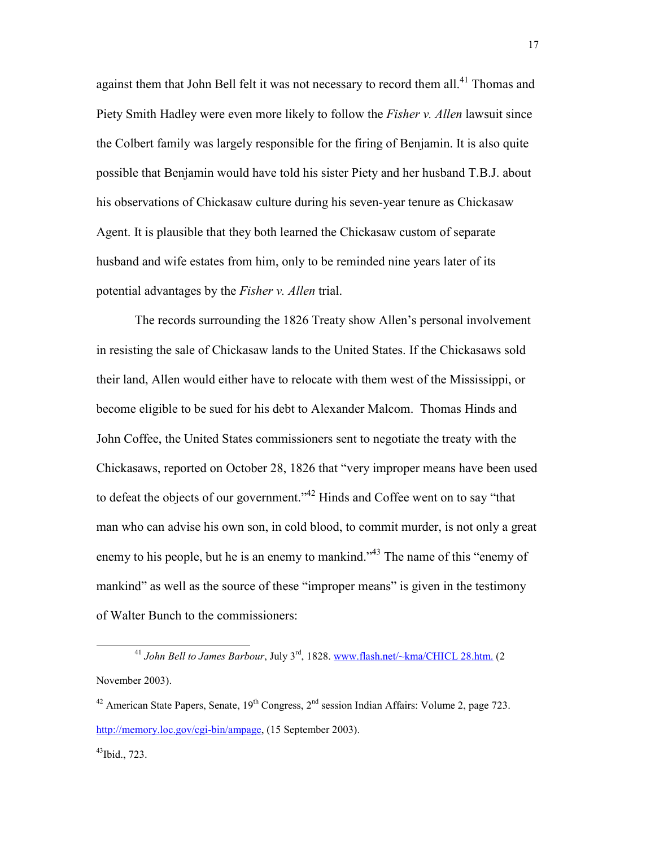against them that John Bell felt it was not necessary to record them all.<sup>41</sup> Thomas and Piety Smith Hadley were even more likely to follow the *Fisher v. Allen* lawsuit since the Colbert family was largely responsible for the firing of Benjamin. It is also quite possible that Benjamin would have told his sister Piety and her husband T.B.J. about his observations of Chickasaw culture during his seven-year tenure as Chickasaw Agent. It is plausible that they both learned the Chickasaw custom of separate husband and wife estates from him, only to be reminded nine years later of its potential advantages by the *Fisher v. Allen* trial.

The records surrounding the 1826 Treaty show Allen's personal involvement in resisting the sale of Chickasaw lands to the United States. If the Chickasaws sold their land, Allen would either have to relocate with them west of the Mississippi, or become eligible to be sued for his debt to Alexander Malcom. Thomas Hinds and John Coffee, the United States commissioners sent to negotiate the treaty with the Chickasaws, reported on October 28, 1826 that "very improper means have been used to defeat the objects of our government."<sup>42</sup> Hinds and Coffee went on to say "that man who can advise his own son, in cold blood, to commit murder, is not only a great enemy to his people, but he is an enemy to mankind."<sup>43</sup> The name of this "enemy of mankind" as well as the source of these "improper means" is given in the testimony of Walter Bunch to the commissioners:

 $\overline{a}$ <sup>41</sup> *John Bell to James Barbour*, July 3<sup>rd</sup>, 1828. www.flash.net/~kma/CHICL 28.htm. (2 November 2003).

<sup>&</sup>lt;sup>42</sup> American State Papers, Senate,  $19^{th}$  Congress,  $2^{nd}$  session Indian Affairs: Volume 2, page 723. http://memory.loc.gov/cgi-bin/ampage, (15 September 2003).

 $43$ Ibid., 723.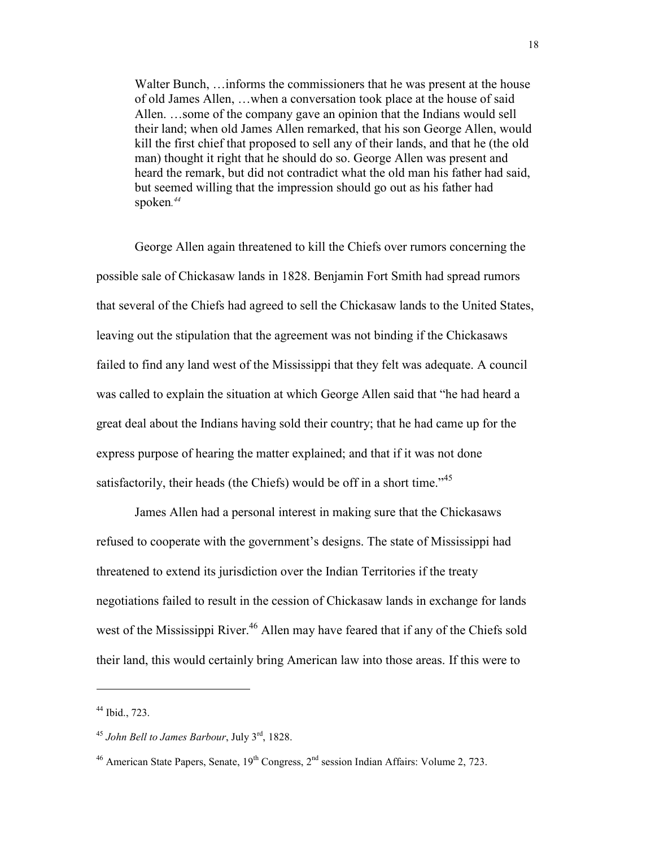Walter Bunch, …informs the commissioners that he was present at the house of old James Allen, …when a conversation took place at the house of said Allen. …some of the company gave an opinion that the Indians would sell their land; when old James Allen remarked, that his son George Allen, would kill the first chief that proposed to sell any of their lands, and that he (the old man) thought it right that he should do so. George Allen was present and heard the remark, but did not contradict what the old man his father had said, but seemed willing that the impression should go out as his father had spoken*. 44*

George Allen again threatened to kill the Chiefs over rumors concerning the possible sale of Chickasaw lands in 1828. Benjamin Fort Smith had spread rumors that several of the Chiefs had agreed to sell the Chickasaw lands to the United States, leaving out the stipulation that the agreement was not binding if the Chickasaws failed to find any land west of the Mississippi that they felt was adequate. A council was called to explain the situation at which George Allen said that "he had heard a great deal about the Indians having sold their country; that he had came up for the express purpose of hearing the matter explained; and that if it was not done satisfactorily, their heads (the Chiefs) would be off in a short time.<sup> $35$ </sup>

James Allen had a personal interest in making sure that the Chickasaws refused to cooperate with the government's designs. The state of Mississippi had threatened to extend its jurisdiction over the Indian Territories if the treaty negotiations failed to result in the cession of Chickasaw lands in exchange for lands west of the Mississippi River.<sup>46</sup> Allen may have feared that if any of the Chiefs sold their land, this would certainly bring American law into those areas. If this were to

<sup>44</sup> Ibid., 723.

<sup>45</sup> *John Bell to James Barbour*, July 3rd, 1828.

<sup>&</sup>lt;sup>46</sup> American State Papers, Senate,  $19^{th}$  Congress,  $2^{nd}$  session Indian Affairs: Volume 2, 723.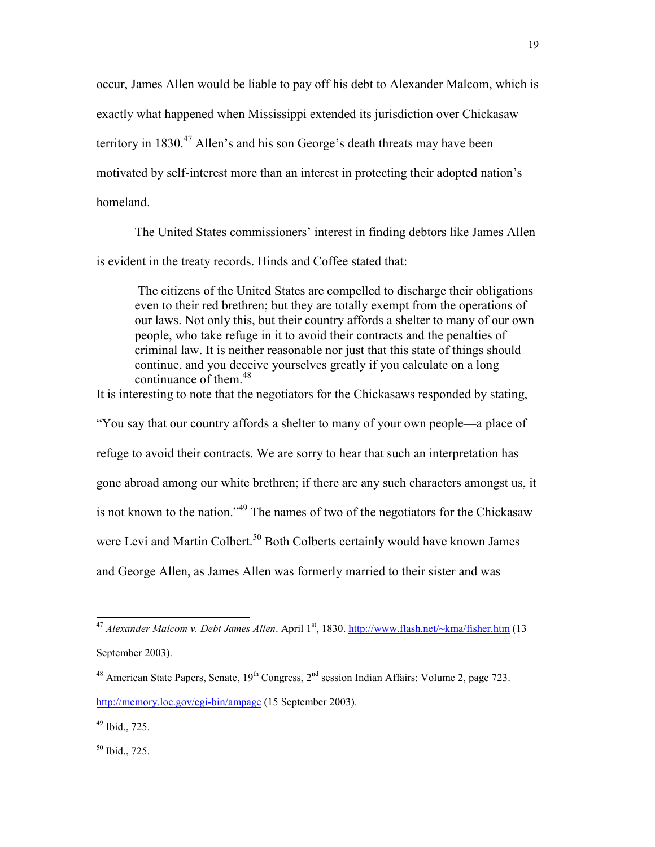occur, James Allen would be liable to pay off his debt to Alexander Malcom, which is exactly what happened when Mississippi extended its jurisdiction over Chickasaw territory in 1830.<sup>47</sup> Allen's and his son George's death threats may have been motivated by self-interest more than an interest in protecting their adopted nation's homeland.

The United States commissioners' interest in finding debtors like James Allen is evident in the treaty records. Hinds and Coffee stated that:

 The citizens of the United States are compelled to discharge their obligations even to their red brethren; but they are totally exempt from the operations of our laws. Not only this, but their country affords a shelter to many of our own people, who take refuge in it to avoid their contracts and the penalties of criminal law. It is neither reasonable nor just that this state of things should continue, and you deceive yourselves greatly if you calculate on a long continuance of them.<sup>48</sup>

It is interesting to note that the negotiators for the Chickasaws responded by stating,

"You say that our country affords a shelter to many of your own people—a place of refuge to avoid their contracts. We are sorry to hear that such an interpretation has gone abroad among our white brethren; if there are any such characters amongst us, it is not known to the nation."<sup>49</sup> The names of two of the negotiators for the Chickasaw were Levi and Martin Colbert.<sup>50</sup> Both Colberts certainly would have known James and George Allen, as James Allen was formerly married to their sister and was

 $49$  Ibid., 725.

 $\overline{a}$ 

<sup>50</sup> Ibid., 725.

<sup>&</sup>lt;sup>47</sup> Alexander Malcom v. Debt James Allen. April 1<sup>st</sup>, 1830. http://www.flash.net/~kma/fisher.htm (13 September 2003).

<sup>&</sup>lt;sup>48</sup> American State Papers, Senate,  $19^{th}$  Congress,  $2^{nd}$  session Indian Affairs: Volume 2, page 723. http://memory.loc.gov/cgi-bin/ampage (15 September 2003).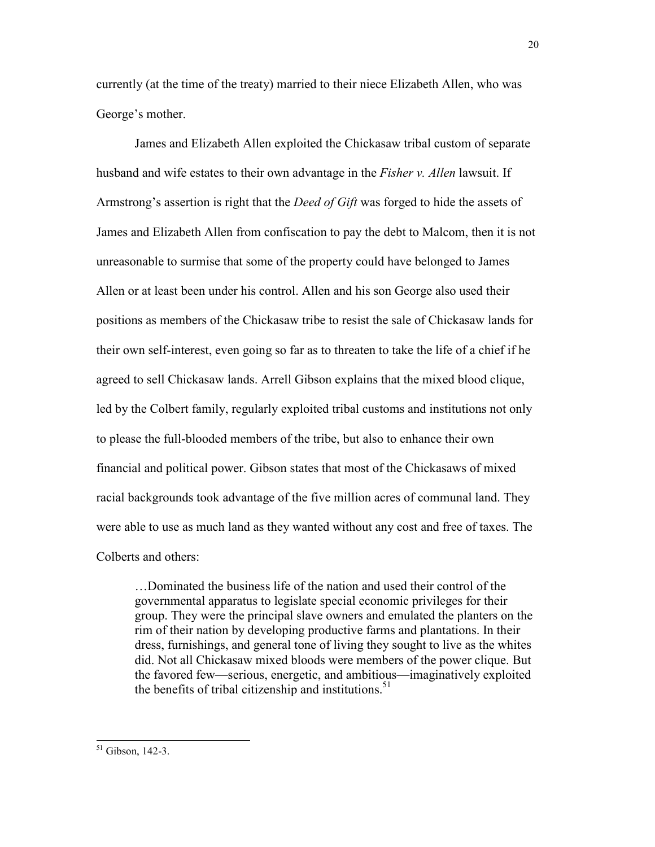currently (at the time of the treaty) married to their niece Elizabeth Allen, who was George's mother.

James and Elizabeth Allen exploited the Chickasaw tribal custom of separate husband and wife estates to their own advantage in the *Fisher v. Allen* lawsuit. If Armstrong's assertion is right that the *Deed of Gift* was forged to hide the assets of James and Elizabeth Allen from confiscation to pay the debt to Malcom, then it is not unreasonable to surmise that some of the property could have belonged to James Allen or at least been under his control. Allen and his son George also used their positions as members of the Chickasaw tribe to resist the sale of Chickasaw lands for their own self-interest, even going so far as to threaten to take the life of a chief if he agreed to sell Chickasaw lands. Arrell Gibson explains that the mixed blood clique, led by the Colbert family, regularly exploited tribal customs and institutions not only to please the full-blooded members of the tribe, but also to enhance their own financial and political power. Gibson states that most of the Chickasaws of mixed racial backgrounds took advantage of the five million acres of communal land. They were able to use as much land as they wanted without any cost and free of taxes. The Colberts and others:

…Dominated the business life of the nation and used their control of the governmental apparatus to legislate special economic privileges for their group. They were the principal slave owners and emulated the planters on the rim of their nation by developing productive farms and plantations. In their dress, furnishings, and general tone of living they sought to live as the whites did. Not all Chickasaw mixed bloods were members of the power clique. But the favored few—serious, energetic, and ambitious—imaginatively exploited the benefits of tribal citizenship and institutions.<sup>51</sup>

 $\overline{a}$ <sup>51</sup> Gibson, 142-3.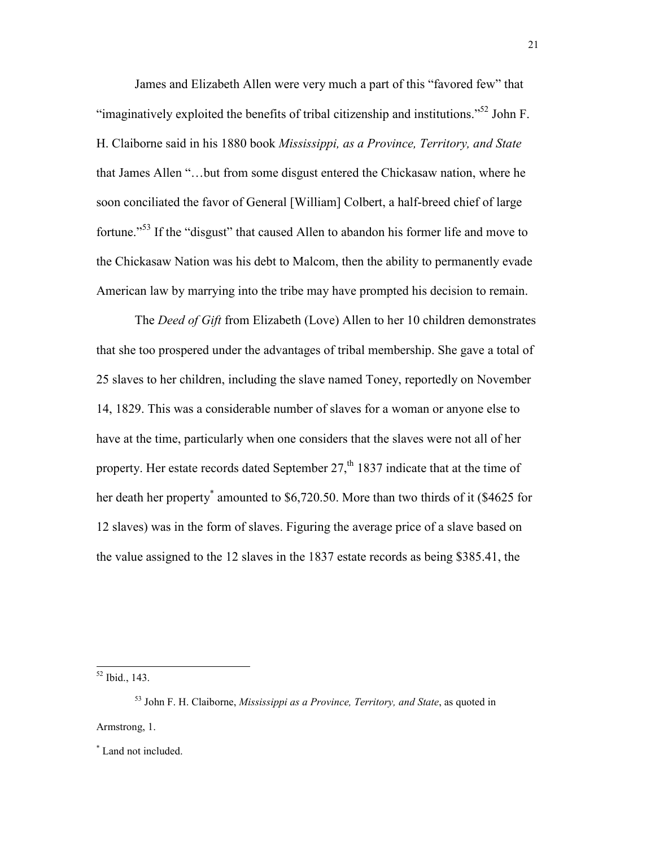James and Elizabeth Allen were very much a part of this "favored few" that "imaginatively exploited the benefits of tribal citizenship and institutions."<sup>52</sup> John F. H. Claiborne said in his 1880 book *Mississippi, as a Province, Territory, and State* that James Allen "…but from some disgust entered the Chickasaw nation, where he soon conciliated the favor of General [William] Colbert, a half-breed chief of large fortune."<sup>53</sup> If the "disgust" that caused Allen to abandon his former life and move to the Chickasaw Nation was his debt to Malcom, then the ability to permanently evade American law by marrying into the tribe may have prompted his decision to remain.

The *Deed of Gift* from Elizabeth (Love) Allen to her 10 children demonstrates that she too prospered under the advantages of tribal membership. She gave a total of 25 slaves to her children, including the slave named Toney, reportedly on November 14, 1829. This was a considerable number of slaves for a woman or anyone else to have at the time, particularly when one considers that the slaves were not all of her property. Her estate records dated September  $27<sup>th</sup>$  1837 indicate that at the time of her death her property<sup>\*</sup> amounted to \$6,720.50. More than two thirds of it (\$4625 for 12 slaves) was in the form of slaves. Figuring the average price of a slave based on the value assigned to the 12 slaves in the 1837 estate records as being \$385.41, the

<sup>52</sup> Ibid., 143.

 $\overline{a}$ 

<sup>53</sup> John F. H. Claiborne, *Mississippi as a Province, Territory, and State*, as quoted in Armstrong, 1.

\* Land not included.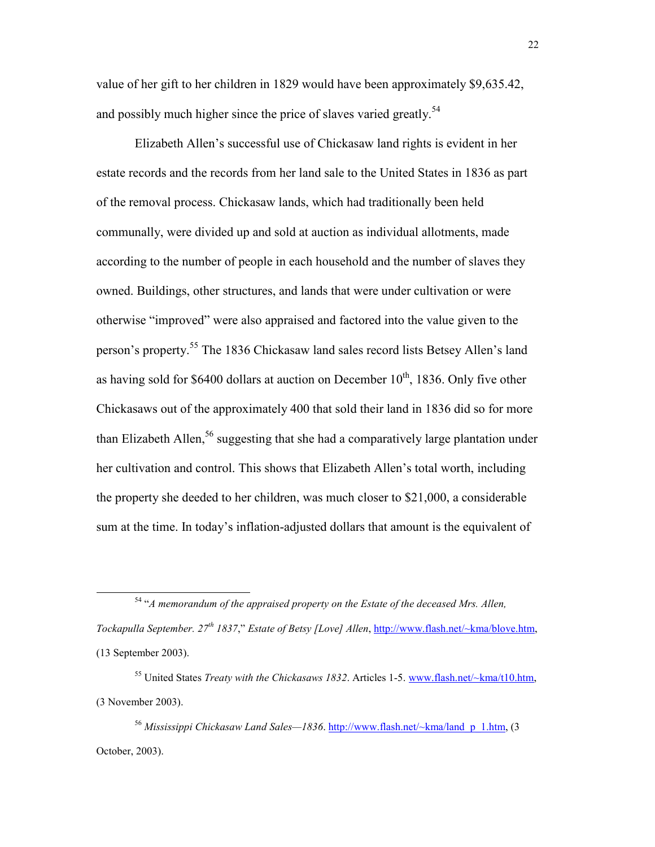value of her gift to her children in 1829 would have been approximately \$9,635.42, and possibly much higher since the price of slaves varied greatly.<sup>54</sup>

Elizabeth Allen's successful use of Chickasaw land rights is evident in her estate records and the records from her land sale to the United States in 1836 as part of the removal process. Chickasaw lands, which had traditionally been held communally, were divided up and sold at auction as individual allotments, made according to the number of people in each household and the number of slaves they owned. Buildings, other structures, and lands that were under cultivation or were otherwise "improved" were also appraised and factored into the value given to the person's property.<sup>55</sup> The 1836 Chickasaw land sales record lists Betsey Allen's land as having sold for \$6400 dollars at auction on December  $10^{th}$ , 1836. Only five other Chickasaws out of the approximately 400 that sold their land in 1836 did so for more than Elizabeth Allen,  $56$  suggesting that she had a comparatively large plantation under her cultivation and control. This shows that Elizabeth Allen's total worth, including the property she deeded to her children, was much closer to \$21,000, a considerable sum at the time. In today's inflation-adjusted dollars that amount is the equivalent of

 $\overline{a}$ 

<sup>56</sup> *Mississippi Chickasaw Land Sales—1836*. http://www.flash.net/~kma/land\_p\_1.htm, (3 October, 2003).

<sup>54</sup> "*A memorandum of the appraised property on the Estate of the deceased Mrs. Allen, Tockapulla September. 27th 1837*," *Estate of Betsy [Love] Allen*, http://www.flash.net/~kma/blove.htm, (13 September 2003).

<sup>55</sup> United States *Treaty with the Chickasaws 1832*. Articles 1-5. www.flash.net/~kma/t10.htm, (3 November 2003).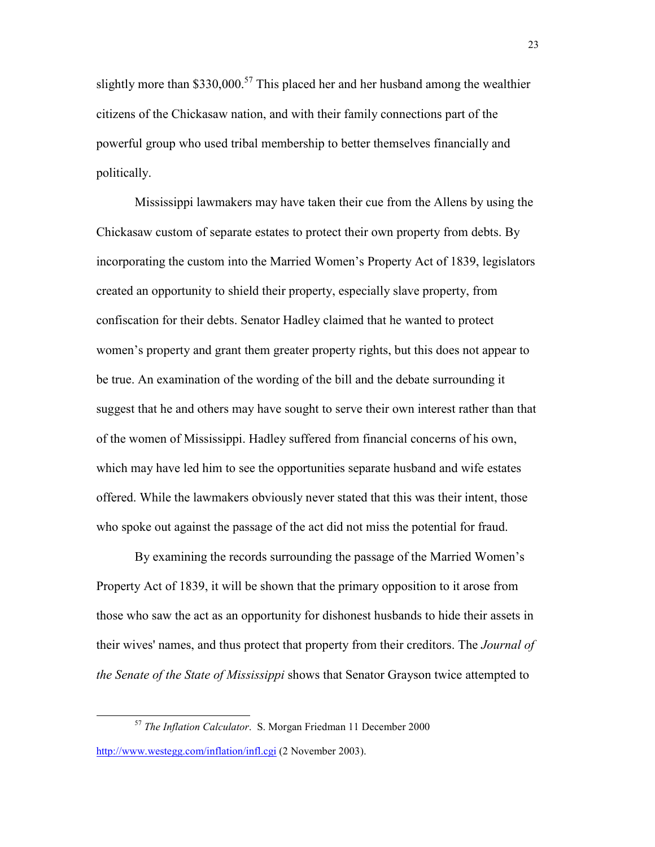slightly more than \$330,000.<sup>57</sup> This placed her and her husband among the wealthier citizens of the Chickasaw nation, and with their family connections part of the powerful group who used tribal membership to better themselves financially and politically.

Mississippi lawmakers may have taken their cue from the Allens by using the Chickasaw custom of separate estates to protect their own property from debts. By incorporating the custom into the Married Women's Property Act of 1839, legislators created an opportunity to shield their property, especially slave property, from confiscation for their debts. Senator Hadley claimed that he wanted to protect women's property and grant them greater property rights, but this does not appear to be true. An examination of the wording of the bill and the debate surrounding it suggest that he and others may have sought to serve their own interest rather than that of the women of Mississippi. Hadley suffered from financial concerns of his own, which may have led him to see the opportunities separate husband and wife estates offered. While the lawmakers obviously never stated that this was their intent, those who spoke out against the passage of the act did not miss the potential for fraud.

By examining the records surrounding the passage of the Married Women's Property Act of 1839, it will be shown that the primary opposition to it arose from those who saw the act as an opportunity for dishonest husbands to hide their assets in their wives' names, and thus protect that property from their creditors. The *Journal of the Senate of the State of Mississippi* shows that Senator Grayson twice attempted to

<sup>57</sup> *The Inflation Calculator*. S. Morgan Friedman 11 December 2000

http://www.westegg.com/inflation/infl.cgi (2 November 2003).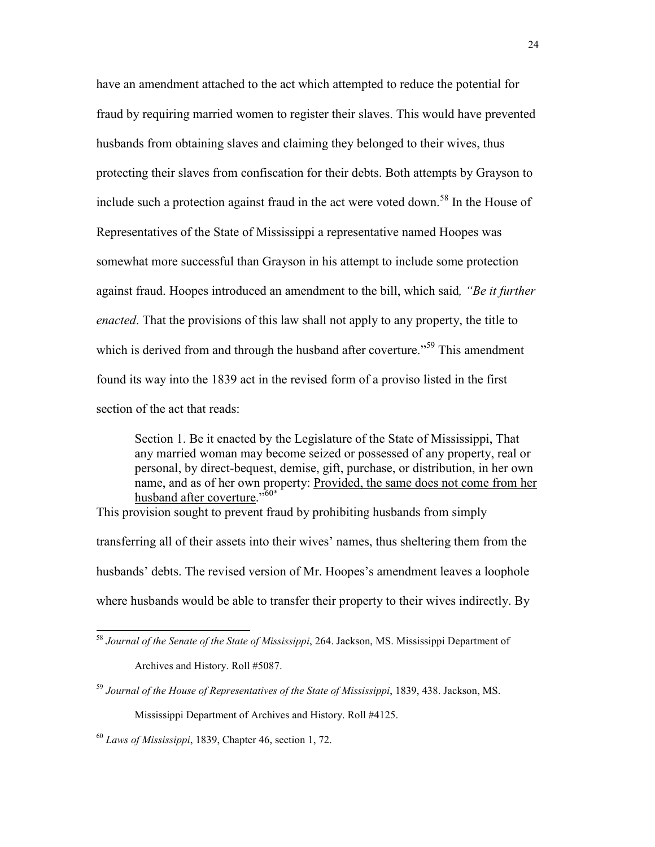have an amendment attached to the act which attempted to reduce the potential for fraud by requiring married women to register their slaves. This would have prevented husbands from obtaining slaves and claiming they belonged to their wives, thus protecting their slaves from confiscation for their debts. Both attempts by Grayson to include such a protection against fraud in the act were voted down.<sup>58</sup> In the House of Representatives of the State of Mississippi a representative named Hoopes was somewhat more successful than Grayson in his attempt to include some protection against fraud. Hoopes introduced an amendment to the bill, which said*, "Be it further enacted*. That the provisions of this law shall not apply to any property, the title to which is derived from and through the husband after coverture.<sup>559</sup> This amendment found its way into the 1839 act in the revised form of a proviso listed in the first section of the act that reads:

Section 1. Be it enacted by the Legislature of the State of Mississippi, That any married woman may become seized or possessed of any property, real or personal, by direct-bequest, demise, gift, purchase, or distribution, in her own name, and as of her own property: Provided, the same does not come from her husband after coverture."60\*

This provision sought to prevent fraud by prohibiting husbands from simply transferring all of their assets into their wives' names, thus sheltering them from the husbands' debts. The revised version of Mr. Hoopes's amendment leaves a loophole where husbands would be able to transfer their property to their wives indirectly. By

<sup>58</sup> *Journal of the Senate of the State of Mississippi*, 264. Jackson, MS. Mississippi Department of Archives and History. Roll #5087.

<sup>59</sup> *Journal of the House of Representatives of the State of Mississippi*, 1839, 438. Jackson, MS. Mississippi Department of Archives and History. Roll #4125.

<sup>60</sup> *Laws of Mississippi*, 1839, Chapter 46, section 1, 72.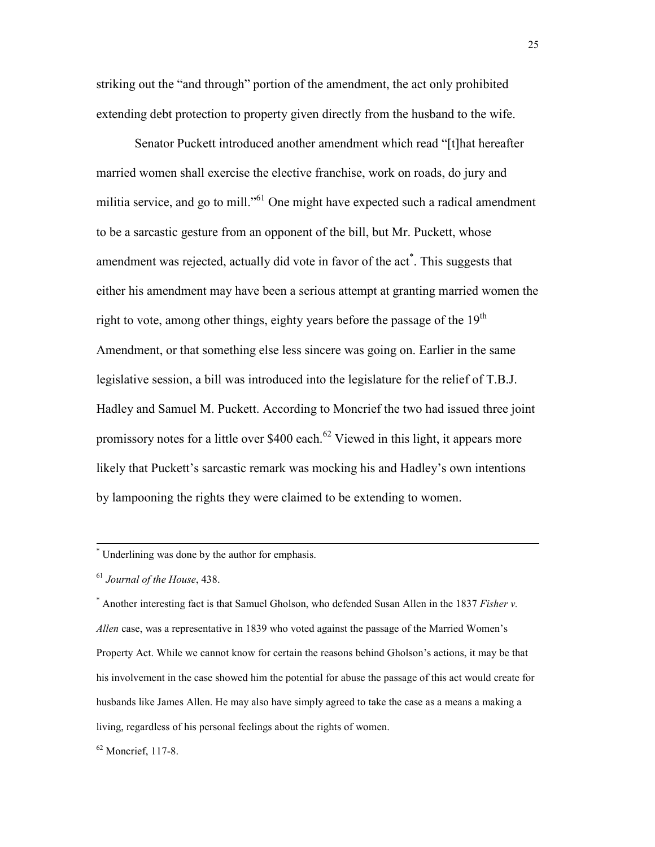striking out the "and through" portion of the amendment, the act only prohibited extending debt protection to property given directly from the husband to the wife.

Senator Puckett introduced another amendment which read "[t]hat hereafter married women shall exercise the elective franchise, work on roads, do jury and militia service, and go to mill."<sup>61</sup> One might have expected such a radical amendment to be a sarcastic gesture from an opponent of the bill, but Mr. Puckett, whose amendment was rejected, actually did vote in favor of the act<sup>\*</sup>. This suggests that either his amendment may have been a serious attempt at granting married women the right to vote, among other things, eighty years before the passage of the  $19<sup>th</sup>$ Amendment, or that something else less sincere was going on. Earlier in the same legislative session, a bill was introduced into the legislature for the relief of T.B.J. Hadley and Samuel M. Puckett. According to Moncrief the two had issued three joint promissory notes for a little over \$400 each.<sup>62</sup> Viewed in this light, it appears more likely that Puckett's sarcastic remark was mocking his and Hadley's own intentions by lampooning the rights they were claimed to be extending to women.

\* Underlining was done by the author for emphasis.

<sup>61</sup> *Journal of the House*, 438.

 $\overline{a}$ 

\* Another interesting fact is that Samuel Gholson, who defended Susan Allen in the 1837 *Fisher v. Allen* case, was a representative in 1839 who voted against the passage of the Married Women's Property Act. While we cannot know for certain the reasons behind Gholson's actions, it may be that his involvement in the case showed him the potential for abuse the passage of this act would create for husbands like James Allen. He may also have simply agreed to take the case as a means a making a living, regardless of his personal feelings about the rights of women.

<sup>62</sup> Moncrief, 117-8.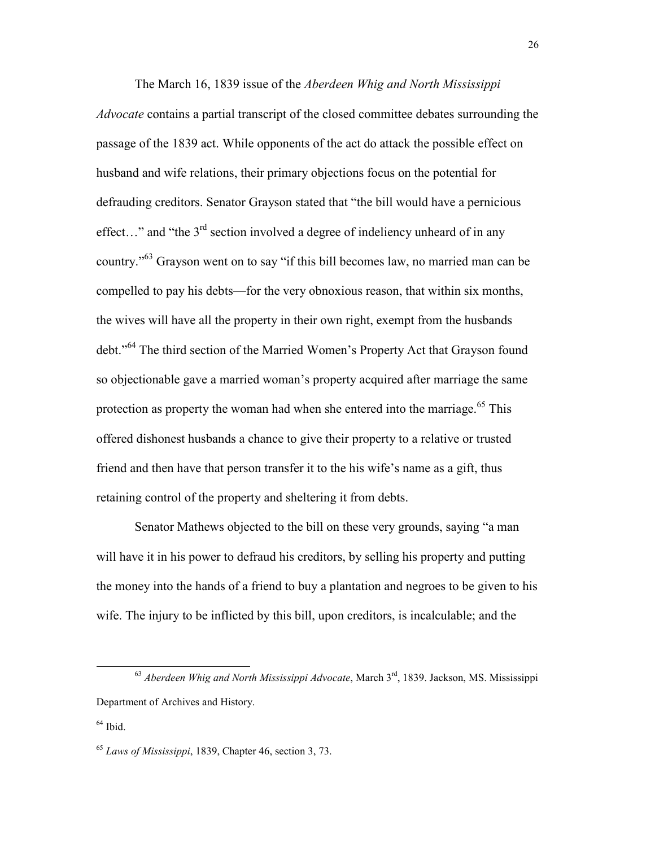The March 16, 1839 issue of the *Aberdeen Whig and North Mississippi Advocate* contains a partial transcript of the closed committee debates surrounding the passage of the 1839 act. While opponents of the act do attack the possible effect on husband and wife relations, their primary objections focus on the potential for defrauding creditors. Senator Grayson stated that "the bill would have a pernicious effect..." and "the  $3<sup>rd</sup>$  section involved a degree of indeliency unheard of in any country."<sup>63</sup> Grayson went on to say "if this bill becomes law, no married man can be compelled to pay his debts—for the very obnoxious reason, that within six months, the wives will have all the property in their own right, exempt from the husbands debt."<sup>64</sup> The third section of the Married Women's Property Act that Grayson found so objectionable gave a married woman's property acquired after marriage the same protection as property the woman had when she entered into the marriage.<sup> $65$ </sup> This offered dishonest husbands a chance to give their property to a relative or trusted friend and then have that person transfer it to the his wife's name as a gift, thus retaining control of the property and sheltering it from debts.

Senator Mathews objected to the bill on these very grounds, saying "a man will have it in his power to defraud his creditors, by selling his property and putting the money into the hands of a friend to buy a plantation and negroes to be given to his wife. The injury to be inflicted by this bill, upon creditors, is incalculable; and the

<sup>63</sup> *Aberdeen Whig and North Mississippi Advocate*, March 3rd, 1839. Jackson, MS. Mississippi Department of Archives and History.

 $64$  Ibid.

<sup>65</sup> *Laws of Mississippi*, 1839, Chapter 46, section 3, 73.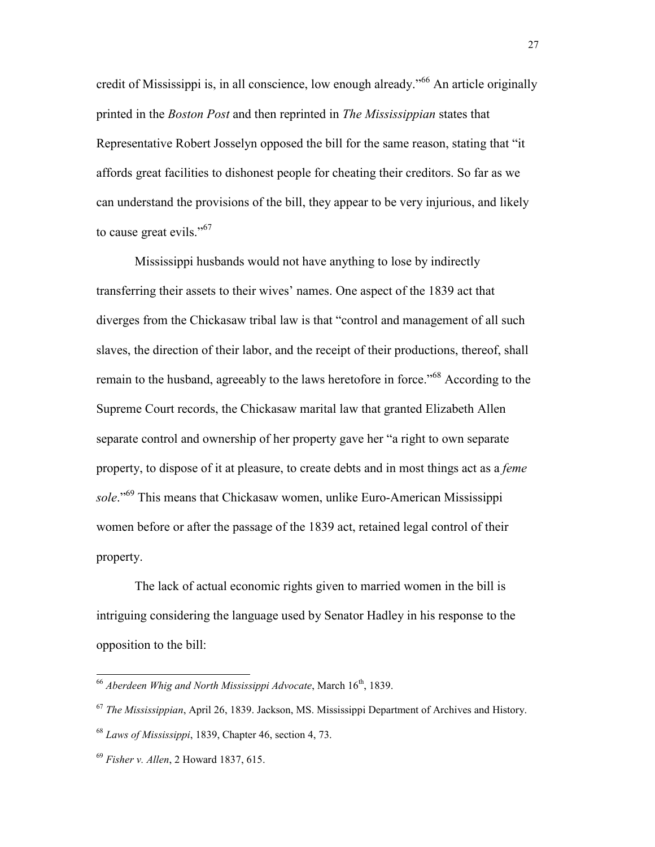credit of Mississippi is, in all conscience, low enough already.<sup>566</sup> An article originally printed in the *Boston Post* and then reprinted in *The Mississippian* states that Representative Robert Josselyn opposed the bill for the same reason, stating that "it affords great facilities to dishonest people for cheating their creditors. So far as we can understand the provisions of the bill, they appear to be very injurious, and likely to cause great evils."<sup>67</sup>

 Mississippi husbands would not have anything to lose by indirectly transferring their assets to their wives' names. One aspect of the 1839 act that diverges from the Chickasaw tribal law is that "control and management of all such slaves, the direction of their labor, and the receipt of their productions, thereof, shall remain to the husband, agreeably to the laws heretofore in force."<sup>68</sup> According to the Supreme Court records, the Chickasaw marital law that granted Elizabeth Allen separate control and ownership of her property gave her "a right to own separate property, to dispose of it at pleasure, to create debts and in most things act as a *feme sole*."<sup>69</sup> This means that Chickasaw women, unlike Euro-American Mississippi women before or after the passage of the 1839 act, retained legal control of their property.

 The lack of actual economic rights given to married women in the bill is intriguing considering the language used by Senator Hadley in his response to the opposition to the bill:

<sup>&</sup>lt;sup>66</sup> Aberdeen Whig and North Mississippi Advocate, March 16<sup>th</sup>, 1839.

<sup>67</sup> *The Mississippian*, April 26, 1839. Jackson, MS. Mississippi Department of Archives and History.

<sup>68</sup> *Laws of Mississippi*, 1839, Chapter 46, section 4, 73.

<sup>69</sup> *Fisher v. Allen*, 2 Howard 1837, 615.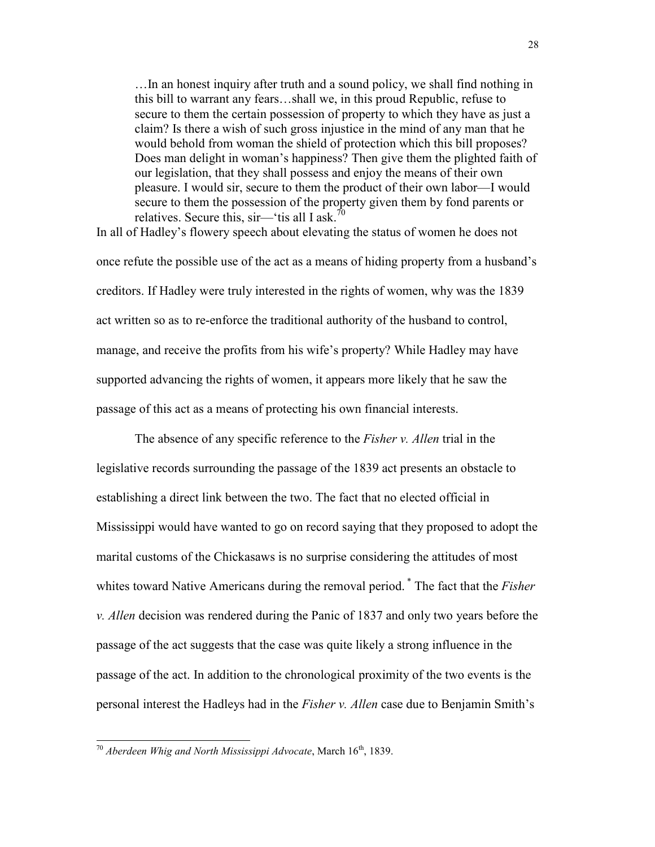…In an honest inquiry after truth and a sound policy, we shall find nothing in this bill to warrant any fears…shall we, in this proud Republic, refuse to secure to them the certain possession of property to which they have as just a claim? Is there a wish of such gross injustice in the mind of any man that he would behold from woman the shield of protection which this bill proposes? Does man delight in woman's happiness? Then give them the plighted faith of our legislation, that they shall possess and enjoy the means of their own pleasure. I would sir, secure to them the product of their own labor—I would secure to them the possession of the property given them by fond parents or relatives. Secure this,  $\sin$ — $\sin$  tis all I ask.<sup>70</sup>

In all of Hadley's flowery speech about elevating the status of women he does not once refute the possible use of the act as a means of hiding property from a husband's creditors. If Hadley were truly interested in the rights of women, why was the 1839 act written so as to re-enforce the traditional authority of the husband to control, manage, and receive the profits from his wife's property? While Hadley may have supported advancing the rights of women, it appears more likely that he saw the passage of this act as a means of protecting his own financial interests.

The absence of any specific reference to the *Fisher v. Allen* trial in the legislative records surrounding the passage of the 1839 act presents an obstacle to establishing a direct link between the two. The fact that no elected official in Mississippi would have wanted to go on record saying that they proposed to adopt the marital customs of the Chickasaws is no surprise considering the attitudes of most whites toward Native Americans during the removal period. \* The fact that the *Fisher v. Allen* decision was rendered during the Panic of 1837 and only two years before the passage of the act suggests that the case was quite likely a strong influence in the passage of the act. In addition to the chronological proximity of the two events is the personal interest the Hadleys had in the *Fisher v. Allen* case due to Benjamin Smith's

<sup>&</sup>lt;sup>70</sup> Aberdeen Whig and North Mississippi Advocate, March 16<sup>th</sup>, 1839.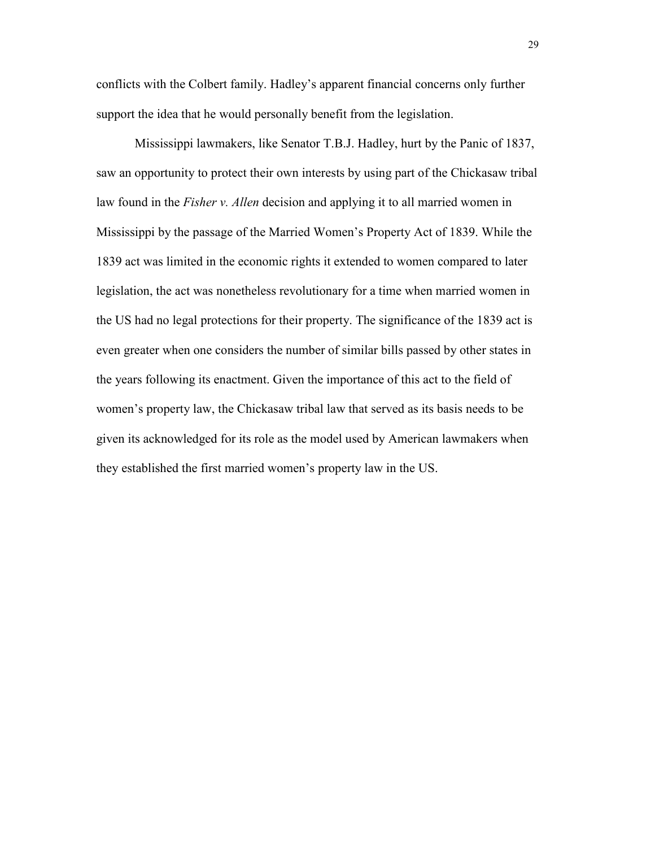conflicts with the Colbert family. Hadley's apparent financial concerns only further support the idea that he would personally benefit from the legislation.

Mississippi lawmakers, like Senator T.B.J. Hadley, hurt by the Panic of 1837, saw an opportunity to protect their own interests by using part of the Chickasaw tribal law found in the *Fisher v. Allen* decision and applying it to all married women in Mississippi by the passage of the Married Women's Property Act of 1839. While the 1839 act was limited in the economic rights it extended to women compared to later legislation, the act was nonetheless revolutionary for a time when married women in the US had no legal protections for their property. The significance of the 1839 act is even greater when one considers the number of similar bills passed by other states in the years following its enactment. Given the importance of this act to the field of women's property law, the Chickasaw tribal law that served as its basis needs to be given its acknowledged for its role as the model used by American lawmakers when they established the first married women's property law in the US.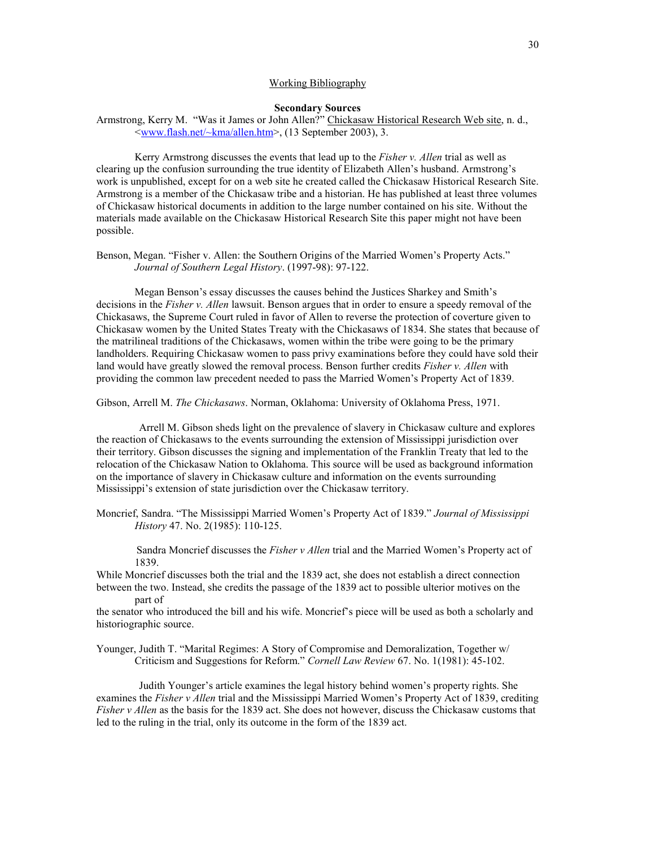## Working Bibliography

#### **Secondary Sources**

Armstrong, Kerry M. "Was it James or John Allen?" Chickasaw Historical Research Web site, n. d.,  $\leq$ www.flash.net/ $\sim$ kma/allen.htm>, (13 September 2003), 3.

 Kerry Armstrong discusses the events that lead up to the *Fisher v. Allen* trial as well as clearing up the confusion surrounding the true identity of Elizabeth Allen's husband. Armstrong's work is unpublished, except for on a web site he created called the Chickasaw Historical Research Site. Armstrong is a member of the Chickasaw tribe and a historian. He has published at least three volumes of Chickasaw historical documents in addition to the large number contained on his site. Without the materials made available on the Chickasaw Historical Research Site this paper might not have been possible.

Benson, Megan. "Fisher v. Allen: the Southern Origins of the Married Women's Property Acts." *Journal of Southern Legal History*. (1997-98): 97-122.

 Megan Benson's essay discusses the causes behind the Justices Sharkey and Smith's decisions in the *Fisher v. Allen* lawsuit. Benson argues that in order to ensure a speedy removal of the Chickasaws, the Supreme Court ruled in favor of Allen to reverse the protection of coverture given to Chickasaw women by the United States Treaty with the Chickasaws of 1834. She states that because of the matrilineal traditions of the Chickasaws, women within the tribe were going to be the primary landholders. Requiring Chickasaw women to pass privy examinations before they could have sold their land would have greatly slowed the removal process. Benson further credits *Fisher v. Allen* with providing the common law precedent needed to pass the Married Women's Property Act of 1839.

Gibson, Arrell M. *The Chickasaws*. Norman, Oklahoma: University of Oklahoma Press, 1971.

 Arrell M. Gibson sheds light on the prevalence of slavery in Chickasaw culture and explores the reaction of Chickasaws to the events surrounding the extension of Mississippi jurisdiction over their territory. Gibson discusses the signing and implementation of the Franklin Treaty that led to the relocation of the Chickasaw Nation to Oklahoma. This source will be used as background information on the importance of slavery in Chickasaw culture and information on the events surrounding Mississippi's extension of state jurisdiction over the Chickasaw territory.

Moncrief, Sandra. "The Mississippi Married Women's Property Act of 1839." *Journal of Mississippi History* 47. No. 2(1985): 110-125.

 Sandra Moncrief discusses the *Fisher v Allen* trial and the Married Women's Property act of 1839.

While Moncrief discusses both the trial and the 1839 act, she does not establish a direct connection between the two. Instead, she credits the passage of the 1839 act to possible ulterior motives on the part of

the senator who introduced the bill and his wife. Moncrief's piece will be used as both a scholarly and historiographic source.

Younger, Judith T. "Marital Regimes: A Story of Compromise and Demoralization, Together w/ Criticism and Suggestions for Reform." *Cornell Law Review* 67. No. 1(1981): 45-102.

 Judith Younger's article examines the legal history behind women's property rights. She examines the *Fisher v Allen* trial and the Mississippi Married Women's Property Act of 1839, crediting *Fisher v Allen* as the basis for the 1839 act. She does not however, discuss the Chickasaw customs that led to the ruling in the trial, only its outcome in the form of the 1839 act.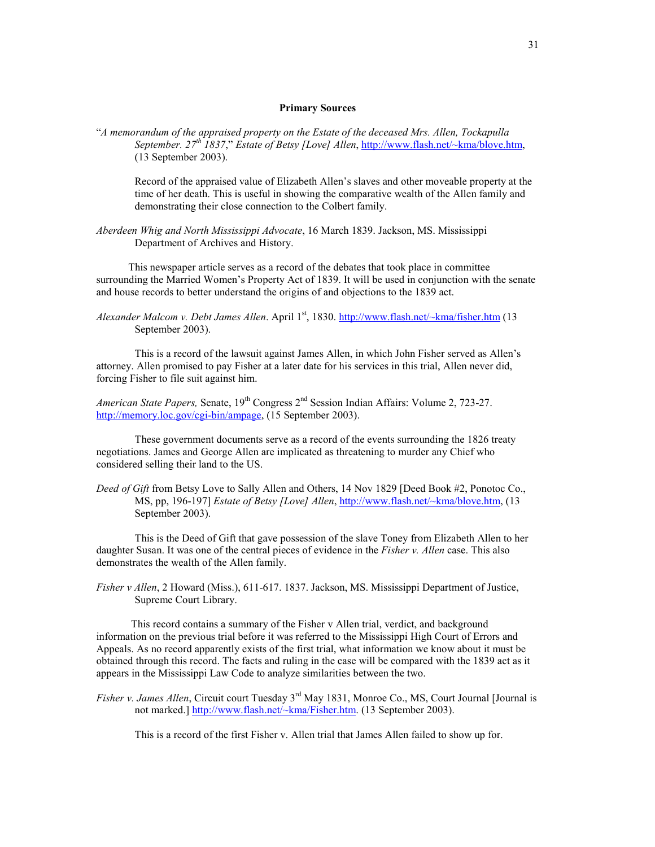#### **Primary Sources**

"*A memorandum of the appraised property on the Estate of the deceased Mrs. Allen, Tockapulla September. 27th 1837*," *Estate of Betsy [Love] Allen*, http://www.flash.net/~kma/blove.htm, (13 September 2003).

Record of the appraised value of Elizabeth Allen's slaves and other moveable property at the time of her death. This is useful in showing the comparative wealth of the Allen family and demonstrating their close connection to the Colbert family.

*Aberdeen Whig and North Mississippi Advocate*, 16 March 1839. Jackson, MS. Mississippi Department of Archives and History.

 This newspaper article serves as a record of the debates that took place in committee surrounding the Married Women's Property Act of 1839. It will be used in conjunction with the senate and house records to better understand the origins of and objections to the 1839 act.

 This is a record of the lawsuit against James Allen, in which John Fisher served as Allen's attorney. Allen promised to pay Fisher at a later date for his services in this trial, Allen never did, forcing Fisher to file suit against him.

*American State Papers, Senate, 19<sup>th</sup> Congress* 2<sup>nd</sup> Session Indian Affairs: Volume 2, 723-27. http://memory.loc.gov/cgi-bin/ampage, (15 September 2003).

 These government documents serve as a record of the events surrounding the 1826 treaty negotiations. James and George Allen are implicated as threatening to murder any Chief who considered selling their land to the US.

*Deed of Gift* from Betsy Love to Sally Allen and Others, 14 Nov 1829 [Deed Book #2, Ponotoc Co., MS, pp, 196-197] *Estate of Betsy [Love] Allen*, http://www.flash.net/~kma/blove.htm, (13 September 2003).

 This is the Deed of Gift that gave possession of the slave Toney from Elizabeth Allen to her daughter Susan. It was one of the central pieces of evidence in the *Fisher v. Allen* case. This also demonstrates the wealth of the Allen family.

*Fisher v Allen*, 2 Howard (Miss.), 611-617. 1837. Jackson, MS. Mississippi Department of Justice, Supreme Court Library.

 This record contains a summary of the Fisher v Allen trial, verdict, and background information on the previous trial before it was referred to the Mississippi High Court of Errors and Appeals. As no record apparently exists of the first trial, what information we know about it must be obtained through this record. The facts and ruling in the case will be compared with the 1839 act as it appears in the Mississippi Law Code to analyze similarities between the two.

*Fisher v. James Allen*, Circuit court Tuesday 3<sup>rd</sup> May 1831, Monroe Co., MS, Court Journal [Journal is not marked.] http://www.flash.net/~kma/Fisher.htm. (13 September 2003).

This is a record of the first Fisher v. Allen trial that James Allen failed to show up for.

*Alexander Malcom v. Debt James Allen.* April 1<sup>st</sup>, 1830. http://www.flash.net/~kma/fisher.htm (13 September 2003).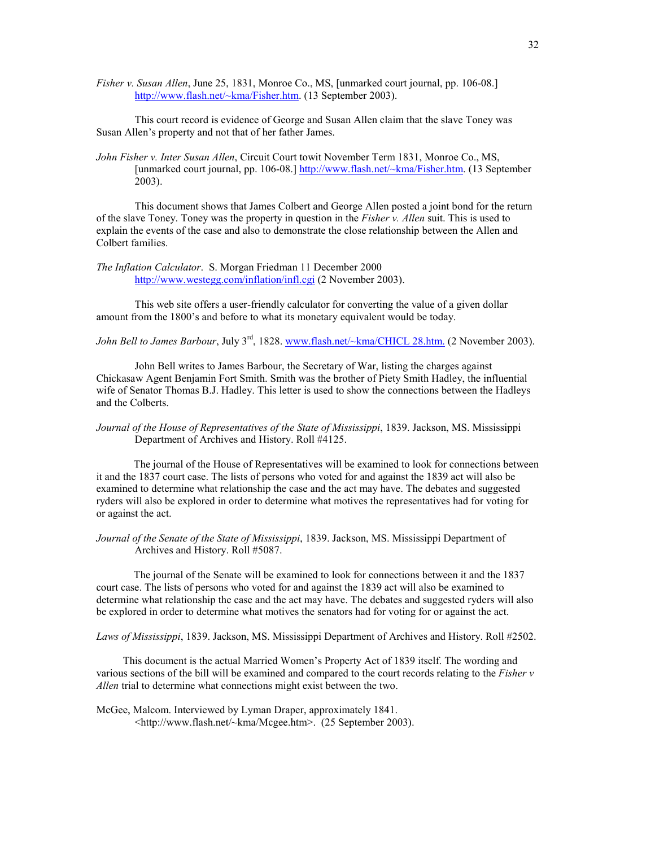*Fisher v. Susan Allen*, June 25, 1831, Monroe Co., MS, [unmarked court journal, pp. 106-08.] http://www.flash.net/~kma/Fisher.htm. (13 September 2003).

 This court record is evidence of George and Susan Allen claim that the slave Toney was Susan Allen's property and not that of her father James.

*John Fisher v. Inter Susan Allen*, Circuit Court towit November Term 1831, Monroe Co., MS, [unmarked court journal, pp. 106-08.] http://www.flash.net/~kma/Fisher.htm. (13 September 2003).

 This document shows that James Colbert and George Allen posted a joint bond for the return of the slave Toney. Toney was the property in question in the *Fisher v. Allen* suit. This is used to explain the events of the case and also to demonstrate the close relationship between the Allen and Colbert families.

*The Inflation Calculator*. S. Morgan Friedman 11 December 2000 http://www.westegg.com/inflation/infl.cgi (2 November 2003).

This web site offers a user-friendly calculator for converting the value of a given dollar amount from the 1800's and before to what its monetary equivalent would be today.

*John Bell to James Barbour*, July 3<sup>rd</sup>, 1828. www.flash.net/~kma/CHICL 28.htm. (2 November 2003).

John Bell writes to James Barbour, the Secretary of War, listing the charges against Chickasaw Agent Benjamin Fort Smith. Smith was the brother of Piety Smith Hadley, the influential wife of Senator Thomas B.J. Hadley. This letter is used to show the connections between the Hadleys and the Colberts.

## *Journal of the House of Representatives of the State of Mississippi*, 1839. Jackson, MS. Mississippi Department of Archives and History. Roll #4125.

 The journal of the House of Representatives will be examined to look for connections between it and the 1837 court case. The lists of persons who voted for and against the 1839 act will also be examined to determine what relationship the case and the act may have. The debates and suggested ryders will also be explored in order to determine what motives the representatives had for voting for or against the act.

*Journal of the Senate of the State of Mississippi*, 1839. Jackson, MS. Mississippi Department of Archives and History. Roll #5087.

 The journal of the Senate will be examined to look for connections between it and the 1837 court case. The lists of persons who voted for and against the 1839 act will also be examined to determine what relationship the case and the act may have. The debates and suggested ryders will also be explored in order to determine what motives the senators had for voting for or against the act.

*Laws of Mississippi*, 1839. Jackson, MS. Mississippi Department of Archives and History. Roll #2502.

 This document is the actual Married Women's Property Act of 1839 itself. The wording and various sections of the bill will be examined and compared to the court records relating to the *Fisher v Allen* trial to determine what connections might exist between the two.

McGee, Malcom. Interviewed by Lyman Draper, approximately 1841. <http://www.flash.net/~kma/Mcgee.htm>. (25 September 2003).